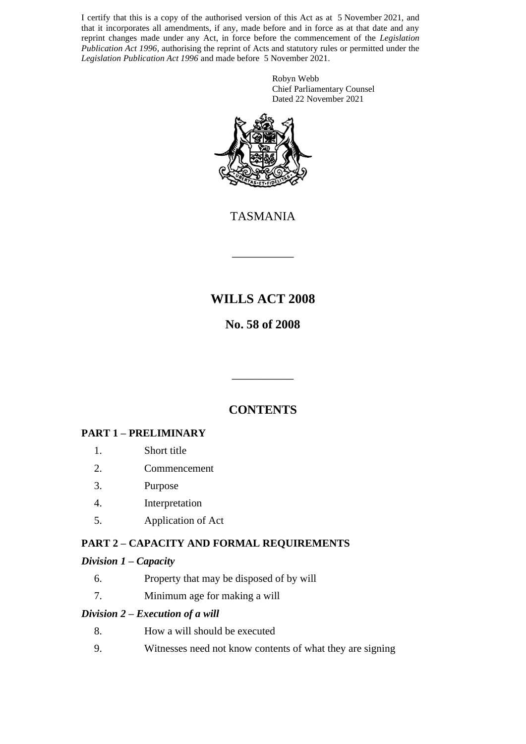I certify that this is a copy of the authorised version of this Act as at 5 November 2021, and that it incorporates all amendments, if any, made before and in force as at that date and any reprint changes made under any Act, in force before the commencement of the *Legislation Publication Act 1996*, authorising the reprint of Acts and statutory rules or permitted under the *Legislation Publication Act 1996* and made before 5 November 2021.

> Robyn Webb Chief Parliamentary Counsel Dated 22 November 2021



TASMANIA

\_\_\_\_\_\_\_\_\_\_

## **WILLS ACT 2008**

## **No. 58 of 2008**

## **CONTENTS**

\_\_\_\_\_\_\_\_\_\_

#### **PART 1 – PRELIMINARY**

- 1. Short title
- 2. Commencement
- 3. Purpose
- 4. Interpretation
- 5. Application of Act

#### **PART 2 – CAPACITY AND FORMAL REQUIREMENTS**

#### *Division 1 – Capacity*

- 6. Property that may be disposed of by will
- 7. Minimum age for making a will

#### *Division 2 – Execution of a will*

- 8. How a will should be executed
- 9. Witnesses need not know contents of what they are signing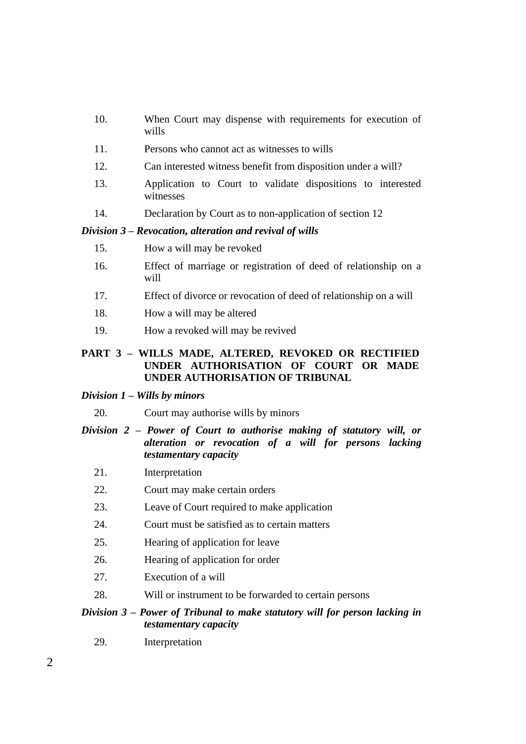- 10. When Court may dispense with requirements for execution of wills
- 11. Persons who cannot act as witnesses to wills
- 12. Can interested witness benefit from disposition under a will?
- 13. Application to Court to validate dispositions to interested witnesses
- 14. Declaration by Court as to non-application of section 12

#### *Division 3 – Revocation, alteration and revival of wills*

- 15. How a will may be revoked
- 16. Effect of marriage or registration of deed of relationship on a will
- 17. Effect of divorce or revocation of deed of relationship on a will
- 18. How a will may be altered
- 19. How a revoked will may be revived

#### **PART 3 – WILLS MADE, ALTERED, REVOKED OR RECTIFIED UNDER AUTHORISATION OF COURT OR MADE UNDER AUTHORISATION OF TRIBUNAL**

#### *Division 1 – Wills by minors*

20. Court may authorise wills by minors

#### *Division 2 – Power of Court to authorise making of statutory will, or alteration or revocation of a will for persons lacking testamentary capacity*

- 21. Interpretation
- 22. Court may make certain orders
- 23. Leave of Court required to make application
- 24. Court must be satisfied as to certain matters
- 25. Hearing of application for leave
- 26. Hearing of application for order
- 27. Execution of a will
- 28. Will or instrument to be forwarded to certain persons

#### *Division 3 – Power of Tribunal to make statutory will for person lacking in testamentary capacity*

29. Interpretation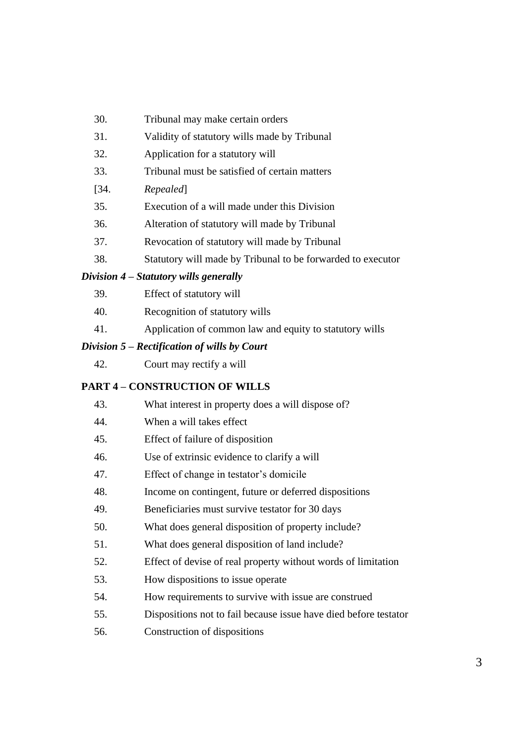- 30. Tribunal may make certain orders
- 31. Validity of statutory wills made by Tribunal
- 32. Application for a statutory will
- 33. Tribunal must be satisfied of certain matters
- [34. *Repealed*]
- 35. Execution of a will made under this Division
- 36. Alteration of statutory will made by Tribunal
- 37. Revocation of statutory will made by Tribunal
- 38. Statutory will made by Tribunal to be forwarded to executor

#### *Division 4 – Statutory wills generally*

- 39. Effect of statutory will
- 40. Recognition of statutory wills
- 41. Application of common law and equity to statutory wills

#### *Division 5 – Rectification of wills by Court*

42. Court may rectify a will

#### **PART 4 – CONSTRUCTION OF WILLS**

| 43. | What interest in property does a will dispose of?                |
|-----|------------------------------------------------------------------|
| 44. | When a will takes effect                                         |
| 45. | Effect of failure of disposition                                 |
| 46. | Use of extrinsic evidence to clarify a will                      |
| 47. | Effect of change in testator's domicile                          |
| 48. | Income on contingent, future or deferred dispositions            |
| 49. | Beneficiaries must survive testator for 30 days                  |
| 50. | What does general disposition of property include?               |
| 51. | What does general disposition of land include?                   |
| 52. | Effect of devise of real property without words of limitation    |
| 53. | How dispositions to issue operate                                |
| 54. | How requirements to survive with issue are construed             |
| 55. | Dispositions not to fail because issue have died before testator |

56. Construction of dispositions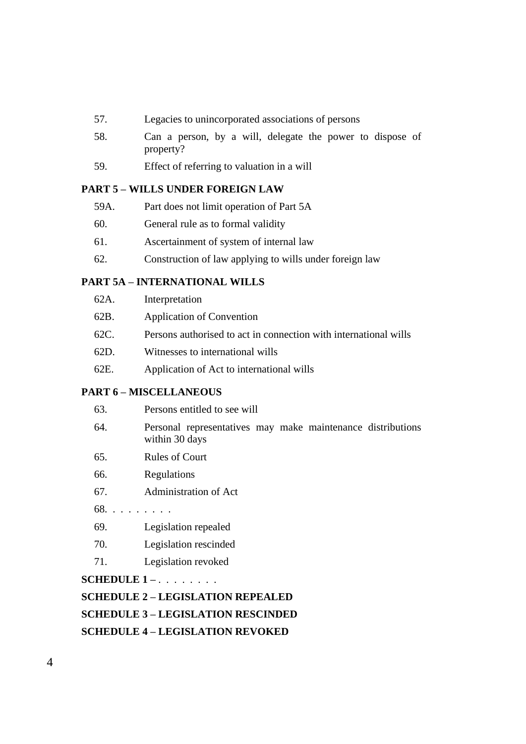- 57. Legacies to unincorporated associations of persons
- 58. Can a person, by a will, delegate the power to dispose of property?
- 59. Effect of referring to valuation in a will

#### **PART 5 – WILLS UNDER FOREIGN LAW**

- 59A. Part does not limit operation of Part 5A
- 60. General rule as to formal validity
- 61. Ascertainment of system of internal law
- 62. Construction of law applying to wills under foreign law

#### **PART 5A – INTERNATIONAL WILLS**

- 62A. Interpretation
- 62B. Application of Convention
- 62C. Persons authorised to act in connection with international wills
- 62D. Witnesses to international wills
- 62E. Application of Act to international wills

#### **PART 6 – MISCELLANEOUS**

|                                           | 63.                                     | Persons entitled to see will                                                  |  |  |  |  |
|-------------------------------------------|-----------------------------------------|-------------------------------------------------------------------------------|--|--|--|--|
|                                           | 64.                                     | Personal representatives may make maintenance distributions<br>within 30 days |  |  |  |  |
|                                           | 65.                                     | <b>Rules of Court</b>                                                         |  |  |  |  |
|                                           | 66.                                     | Regulations                                                                   |  |  |  |  |
|                                           | 67.                                     | Administration of Act                                                         |  |  |  |  |
|                                           | $68. \ldots \ldots \ldots$              |                                                                               |  |  |  |  |
|                                           | 69.                                     | Legislation repealed                                                          |  |  |  |  |
|                                           | 70.                                     | Legislation rescinded                                                         |  |  |  |  |
|                                           | 71.                                     | Legislation revoked                                                           |  |  |  |  |
| $\textbf{SCHEDULE}$ 1 –                   |                                         |                                                                               |  |  |  |  |
| <b>SCHEDULE 2 – LEGISLATION REPEALED</b>  |                                         |                                                                               |  |  |  |  |
| <b>SCHEDULE 3 – LEGISLATION RESCINDED</b> |                                         |                                                                               |  |  |  |  |
|                                           | <b>SCHEDULE 4 – LEGISLATION REVOKED</b> |                                                                               |  |  |  |  |
|                                           |                                         |                                                                               |  |  |  |  |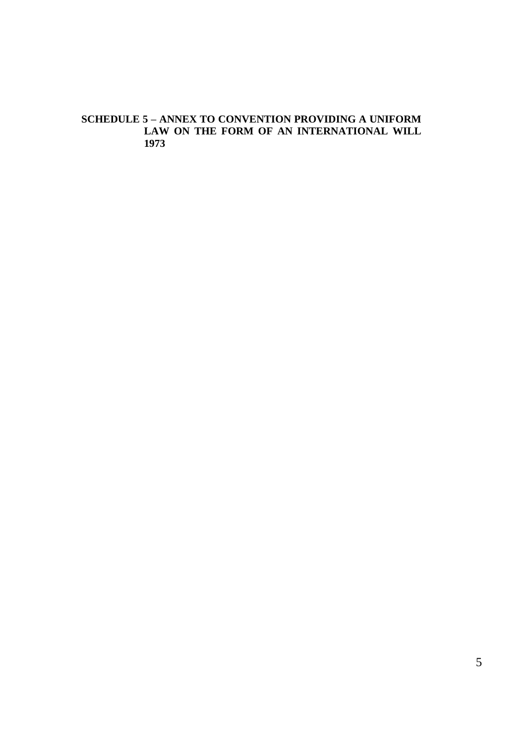#### **SCHEDULE 5 – ANNEX TO CONVENTION PROVIDING A UNIFORM LAW ON THE FORM OF AN INTERNATIONAL WILL 1973**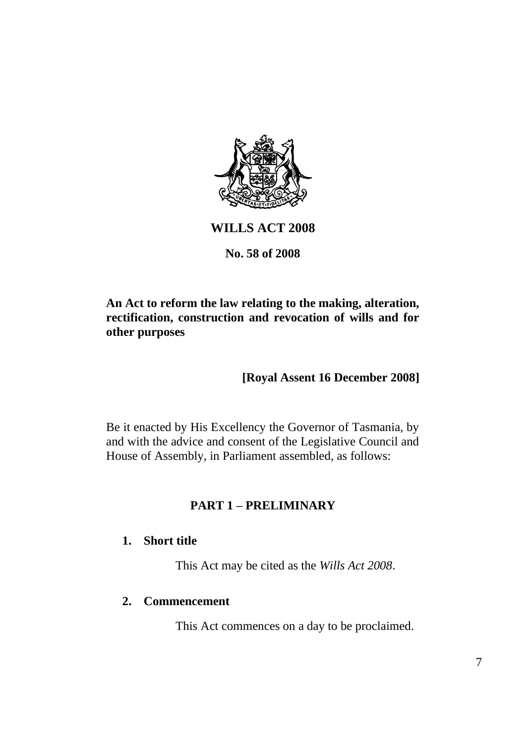

## **WILLS ACT 2008**

#### **No. 58 of 2008**

## **An Act to reform the law relating to the making, alteration, rectification, construction and revocation of wills and for other purposes**

## **[Royal Assent 16 December 2008]**

Be it enacted by His Excellency the Governor of Tasmania, by and with the advice and consent of the Legislative Council and House of Assembly, in Parliament assembled, as follows:

## **PART 1 – PRELIMINARY**

## **1. Short title**

This Act may be cited as the *Wills Act 2008*.

#### **2. Commencement**

This Act commences on a day to be proclaimed.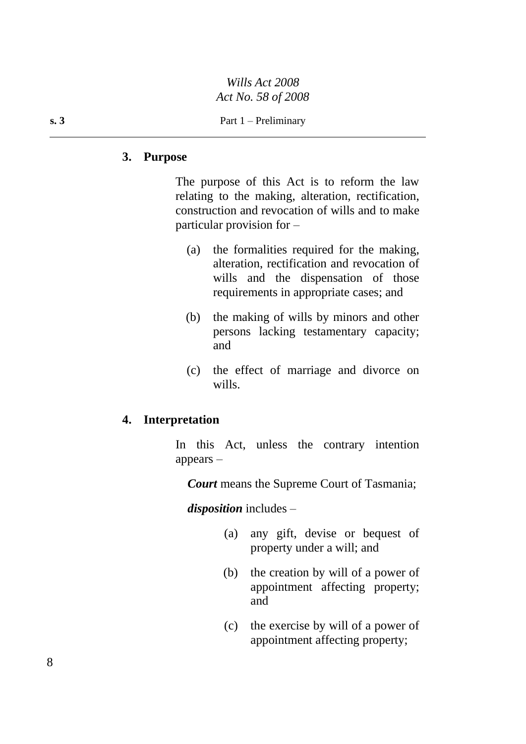#### **3. Purpose**

The purpose of this Act is to reform the law relating to the making, alteration, rectification, construction and revocation of wills and to make particular provision for –

- (a) the formalities required for the making, alteration, rectification and revocation of wills and the dispensation of those requirements in appropriate cases; and
- (b) the making of wills by minors and other persons lacking testamentary capacity; and
- (c) the effect of marriage and divorce on wills.

#### **4. Interpretation**

In this Act, unless the contrary intention appears –

*Court* means the Supreme Court of Tasmania;

*disposition* includes –

- (a) any gift, devise or bequest of property under a will; and
- (b) the creation by will of a power of appointment affecting property; and
- (c) the exercise by will of a power of appointment affecting property;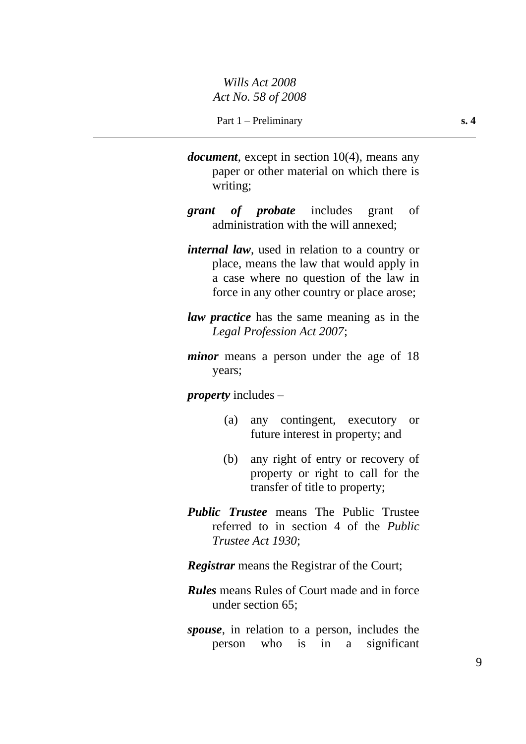- *document*, except in section 10(4), means any paper or other material on which there is writing;
- *grant of probate* includes grant of administration with the will annexed;
- *internal law*, used in relation to a country or place, means the law that would apply in a case where no question of the law in force in any other country or place arose;
- *law practice* has the same meaning as in the *Legal Profession Act 2007*;
- *minor* means a person under the age of 18 years;

*property* includes –

- (a) any contingent, executory or future interest in property; and
- (b) any right of entry or recovery of property or right to call for the transfer of title to property;
- *Public Trustee* means The Public Trustee referred to in section 4 of the *Public Trustee Act 1930*;
- *Registrar* means the Registrar of the Court;
- *Rules* means Rules of Court made and in force under section 65;
- *spouse*, in relation to a person, includes the person who is in a significant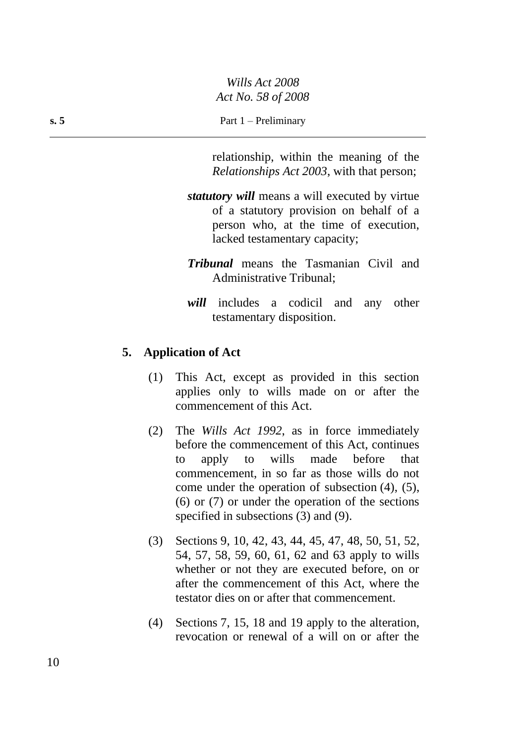relationship, within the meaning of the *Relationships Act 2003*, with that person;

- *statutory will* means a will executed by virtue of a statutory provision on behalf of a person who, at the time of execution, lacked testamentary capacity;
- *Tribunal* means the Tasmanian Civil and Administrative Tribunal;
- *will* includes a codicil and any other testamentary disposition.

#### **5. Application of Act**

- (1) This Act, except as provided in this section applies only to wills made on or after the commencement of this Act.
- (2) The *Wills Act 1992*, as in force immediately before the commencement of this Act, continues to apply to wills made before that commencement, in so far as those wills do not come under the operation of subsection (4), (5), (6) or (7) or under the operation of the sections specified in subsections (3) and (9).
- (3) Sections 9, 10, 42, 43, 44, 45, 47, 48, 50, 51, 52, 54, 57, 58, 59, 60, 61, 62 and 63 apply to wills whether or not they are executed before, on or after the commencement of this Act, where the testator dies on or after that commencement.
- (4) Sections 7, 15, 18 and 19 apply to the alteration, revocation or renewal of a will on or after the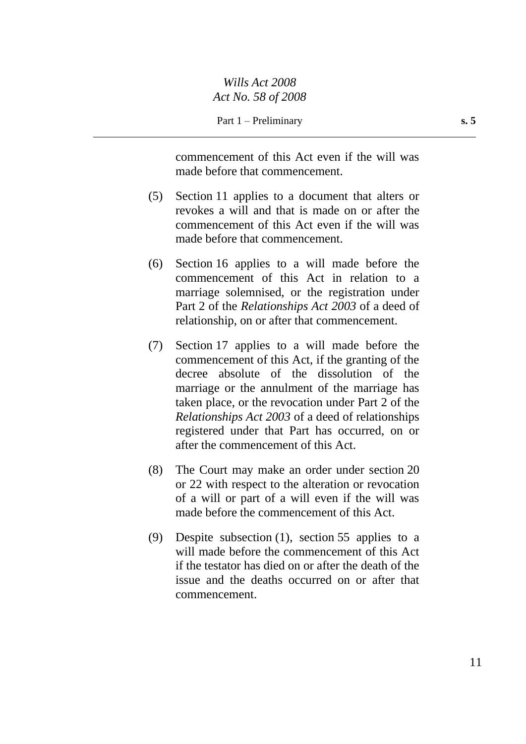commencement of this Act even if the will was made before that commencement.

- (5) Section 11 applies to a document that alters or revokes a will and that is made on or after the commencement of this Act even if the will was made before that commencement.
- (6) Section 16 applies to a will made before the commencement of this Act in relation to a marriage solemnised, or the registration under Part 2 of the *Relationships Act 2003* of a deed of relationship, on or after that commencement.
- (7) Section 17 applies to a will made before the commencement of this Act, if the granting of the decree absolute of the dissolution of the marriage or the annulment of the marriage has taken place, or the revocation under Part 2 of the *Relationships Act 2003* of a deed of relationships registered under that Part has occurred, on or after the commencement of this Act.
- (8) The Court may make an order under section 20 or 22 with respect to the alteration or revocation of a will or part of a will even if the will was made before the commencement of this Act.
- (9) Despite subsection (1), section 55 applies to a will made before the commencement of this Act if the testator has died on or after the death of the issue and the deaths occurred on or after that commencement.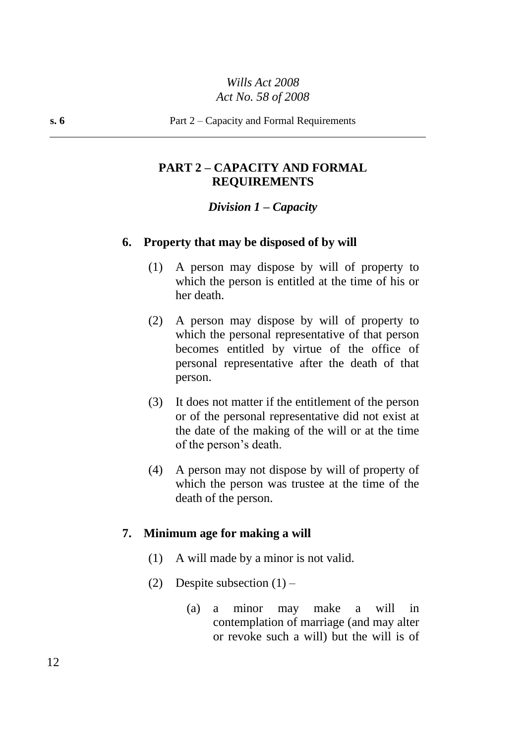## **PART 2 – CAPACITY AND FORMAL REQUIREMENTS**

#### *Division 1 – Capacity*

#### **6. Property that may be disposed of by will**

- (1) A person may dispose by will of property to which the person is entitled at the time of his or her death.
- (2) A person may dispose by will of property to which the personal representative of that person becomes entitled by virtue of the office of personal representative after the death of that person.
- (3) It does not matter if the entitlement of the person or of the personal representative did not exist at the date of the making of the will or at the time of the person's death.
- (4) A person may not dispose by will of property of which the person was trustee at the time of the death of the person.

#### **7. Minimum age for making a will**

- (1) A will made by a minor is not valid.
- (2) Despite subsection  $(1)$ 
	- (a) a minor may make a will in contemplation of marriage (and may alter or revoke such a will) but the will is of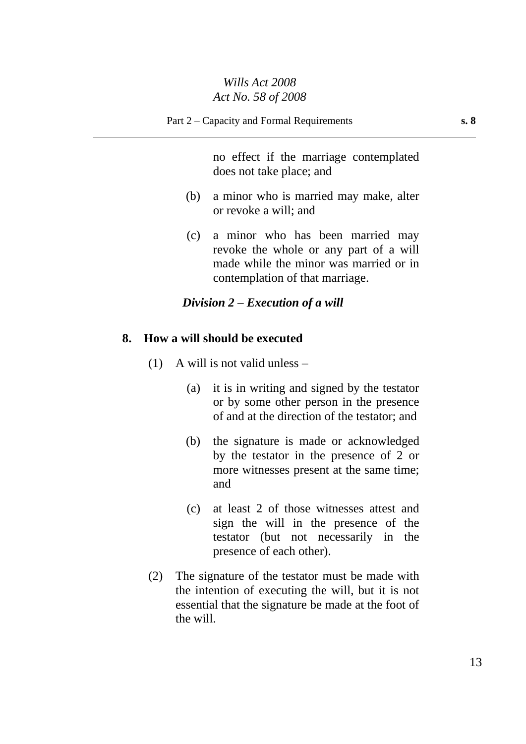no effect if the marriage contemplated does not take place; and

- (b) a minor who is married may make, alter or revoke a will; and
- (c) a minor who has been married may revoke the whole or any part of a will made while the minor was married or in contemplation of that marriage.

#### *Division 2 – Execution of a will*

#### **8. How a will should be executed**

- (1) A will is not valid unless
	- (a) it is in writing and signed by the testator or by some other person in the presence of and at the direction of the testator; and
	- (b) the signature is made or acknowledged by the testator in the presence of 2 or more witnesses present at the same time; and
	- (c) at least 2 of those witnesses attest and sign the will in the presence of the testator (but not necessarily in the presence of each other).
- (2) The signature of the testator must be made with the intention of executing the will, but it is not essential that the signature be made at the foot of the will.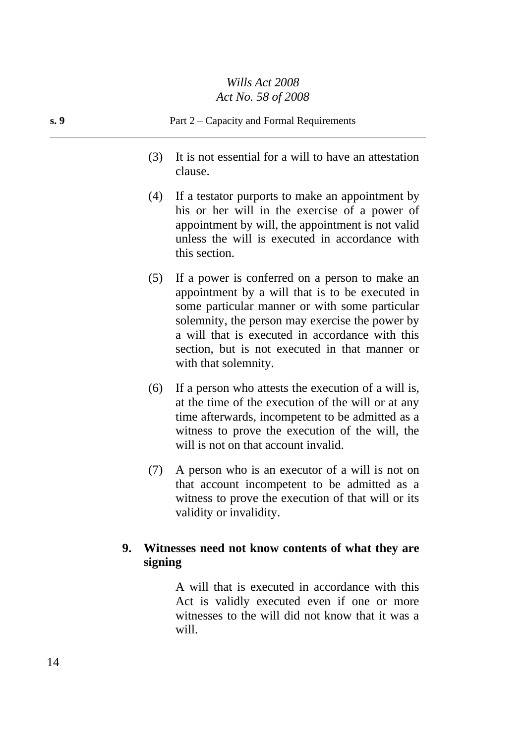- (3) It is not essential for a will to have an attestation clause.
- (4) If a testator purports to make an appointment by his or her will in the exercise of a power of appointment by will, the appointment is not valid unless the will is executed in accordance with this section.
- (5) If a power is conferred on a person to make an appointment by a will that is to be executed in some particular manner or with some particular solemnity, the person may exercise the power by a will that is executed in accordance with this section, but is not executed in that manner or with that solemnity.
- (6) If a person who attests the execution of a will is, at the time of the execution of the will or at any time afterwards, incompetent to be admitted as a witness to prove the execution of the will, the will is not on that account invalid.
- (7) A person who is an executor of a will is not on that account incompetent to be admitted as a witness to prove the execution of that will or its validity or invalidity.

## **9. Witnesses need not know contents of what they are signing**

A will that is executed in accordance with this Act is validly executed even if one or more witnesses to the will did not know that it was a will.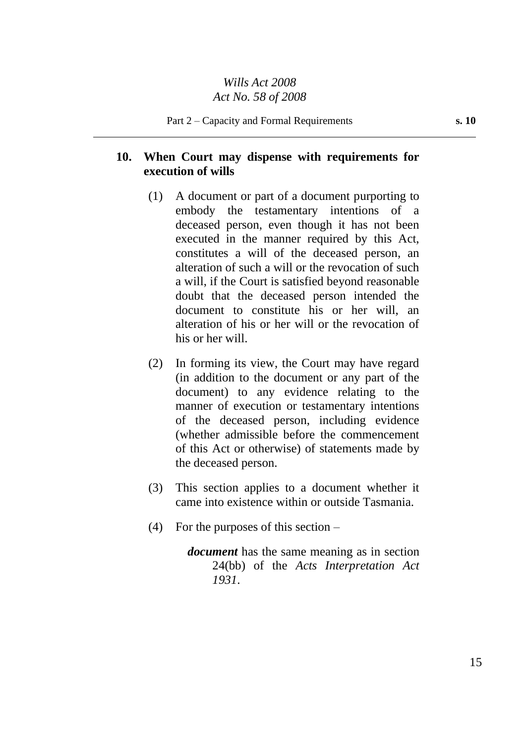## **10. When Court may dispense with requirements for execution of wills**

- (1) A document or part of a document purporting to embody the testamentary intentions of a deceased person, even though it has not been executed in the manner required by this Act, constitutes a will of the deceased person, an alteration of such a will or the revocation of such a will, if the Court is satisfied beyond reasonable doubt that the deceased person intended the document to constitute his or her will, an alteration of his or her will or the revocation of his or her will.
- (2) In forming its view, the Court may have regard (in addition to the document or any part of the document) to any evidence relating to the manner of execution or testamentary intentions of the deceased person, including evidence (whether admissible before the commencement of this Act or otherwise) of statements made by the deceased person.
- (3) This section applies to a document whether it came into existence within or outside Tasmania.
- (4) For the purposes of this section –

*document* has the same meaning as in section 24(bb) of the *Acts Interpretation Act 1931*.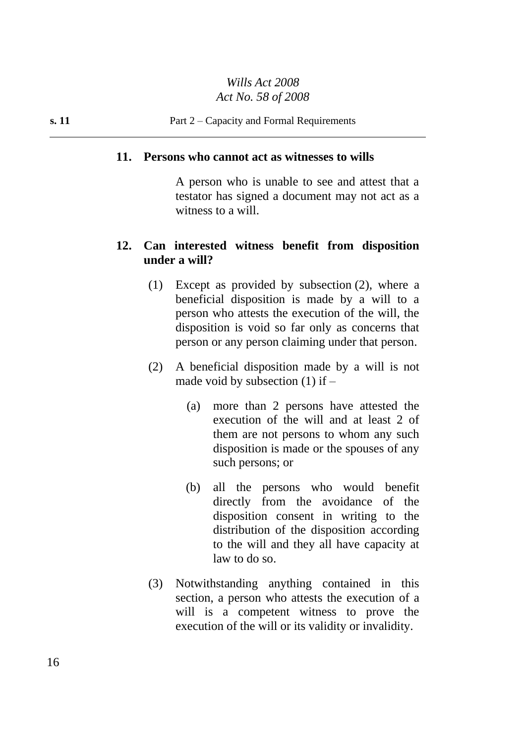#### **11. Persons who cannot act as witnesses to wills**

A person who is unable to see and attest that a testator has signed a document may not act as a witness to a will.

#### **12. Can interested witness benefit from disposition under a will?**

- (1) Except as provided by subsection (2), where a beneficial disposition is made by a will to a person who attests the execution of the will, the disposition is void so far only as concerns that person or any person claiming under that person.
- (2) A beneficial disposition made by a will is not made void by subsection  $(1)$  if –
	- (a) more than 2 persons have attested the execution of the will and at least 2 of them are not persons to whom any such disposition is made or the spouses of any such persons; or
	- (b) all the persons who would benefit directly from the avoidance of the disposition consent in writing to the distribution of the disposition according to the will and they all have capacity at law to do so.
- (3) Notwithstanding anything contained in this section, a person who attests the execution of a will is a competent witness to prove the execution of the will or its validity or invalidity.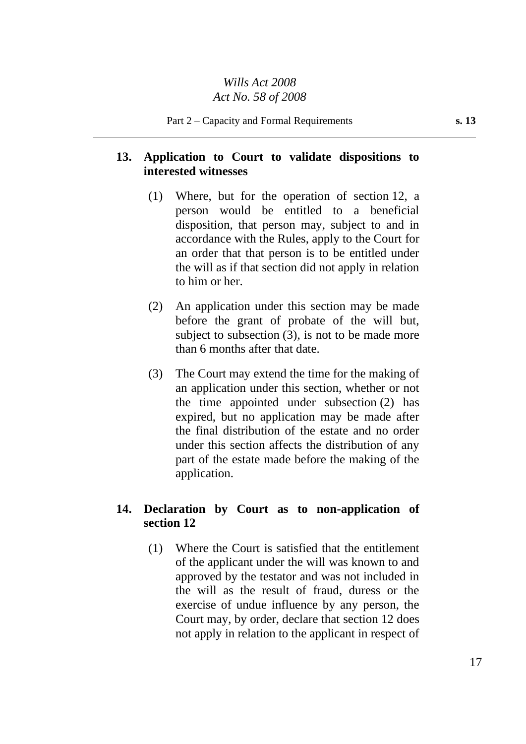## **13. Application to Court to validate dispositions to interested witnesses**

- (1) Where, but for the operation of section 12, a person would be entitled to a beneficial disposition, that person may, subject to and in accordance with the Rules, apply to the Court for an order that that person is to be entitled under the will as if that section did not apply in relation to him or her.
- (2) An application under this section may be made before the grant of probate of the will but, subject to subsection (3), is not to be made more than 6 months after that date.
- (3) The Court may extend the time for the making of an application under this section, whether or not the time appointed under subsection (2) has expired, but no application may be made after the final distribution of the estate and no order under this section affects the distribution of any part of the estate made before the making of the application.

## **14. Declaration by Court as to non-application of section 12**

(1) Where the Court is satisfied that the entitlement of the applicant under the will was known to and approved by the testator and was not included in the will as the result of fraud, duress or the exercise of undue influence by any person, the Court may, by order, declare that section 12 does not apply in relation to the applicant in respect of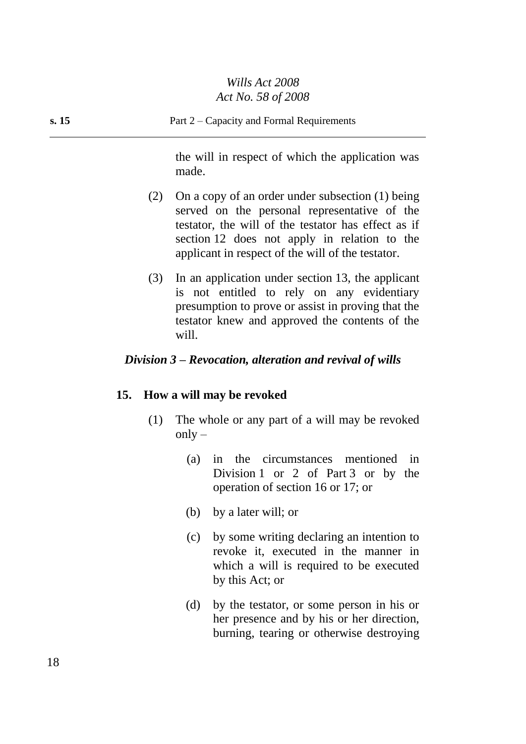the will in respect of which the application was made.

- (2) On a copy of an order under subsection (1) being served on the personal representative of the testator, the will of the testator has effect as if section 12 does not apply in relation to the applicant in respect of the will of the testator.
- (3) In an application under section 13, the applicant is not entitled to rely on any evidentiary presumption to prove or assist in proving that the testator knew and approved the contents of the will.

## *Division 3 – Revocation, alteration and revival of wills*

#### **15. How a will may be revoked**

- (1) The whole or any part of a will may be revoked  $only -$ 
	- (a) in the circumstances mentioned in Division 1 or 2 of Part 3 or by the operation of section 16 or 17; or
	- (b) by a later will; or
	- (c) by some writing declaring an intention to revoke it, executed in the manner in which a will is required to be executed by this Act; or
	- (d) by the testator, or some person in his or her presence and by his or her direction, burning, tearing or otherwise destroying

18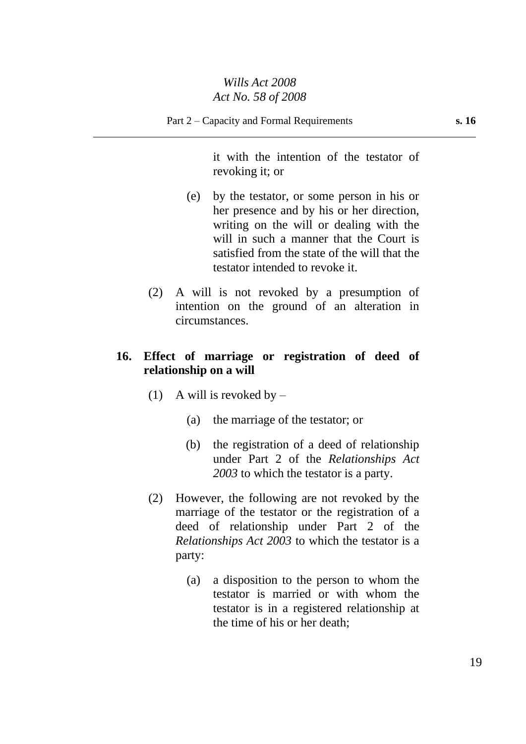it with the intention of the testator of revoking it; or

- (e) by the testator, or some person in his or her presence and by his or her direction, writing on the will or dealing with the will in such a manner that the Court is satisfied from the state of the will that the testator intended to revoke it.
- (2) A will is not revoked by a presumption of intention on the ground of an alteration in circumstances.

## **16. Effect of marriage or registration of deed of relationship on a will**

- (1) A will is revoked by  $-$ 
	- (a) the marriage of the testator; or
	- (b) the registration of a deed of relationship under Part 2 of the *Relationships Act 2003* to which the testator is a party.
- (2) However, the following are not revoked by the marriage of the testator or the registration of a deed of relationship under Part 2 of the *Relationships Act 2003* to which the testator is a party:
	- (a) a disposition to the person to whom the testator is married or with whom the testator is in a registered relationship at the time of his or her death;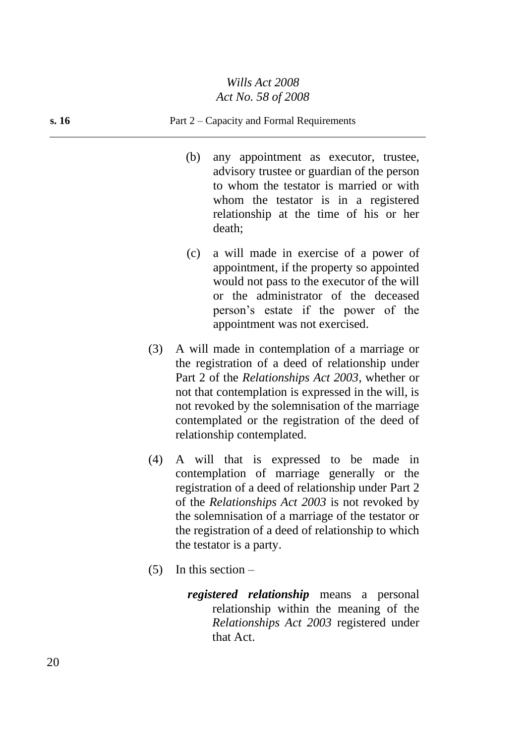#### **s. 16** Part 2 – Capacity and Formal Requirements

- (b) any appointment as executor, trustee, advisory trustee or guardian of the person to whom the testator is married or with whom the testator is in a registered relationship at the time of his or her death;
- (c) a will made in exercise of a power of appointment, if the property so appointed would not pass to the executor of the will or the administrator of the deceased person's estate if the power of the appointment was not exercised.
- (3) A will made in contemplation of a marriage or the registration of a deed of relationship under Part 2 of the *Relationships Act 2003*, whether or not that contemplation is expressed in the will, is not revoked by the solemnisation of the marriage contemplated or the registration of the deed of relationship contemplated.
- (4) A will that is expressed to be made in contemplation of marriage generally or the registration of a deed of relationship under Part 2 of the *Relationships Act 2003* is not revoked by the solemnisation of a marriage of the testator or the registration of a deed of relationship to which the testator is a party.
- $(5)$  In this section
	- *registered relationship* means a personal relationship within the meaning of the *Relationships Act 2003* registered under that Act.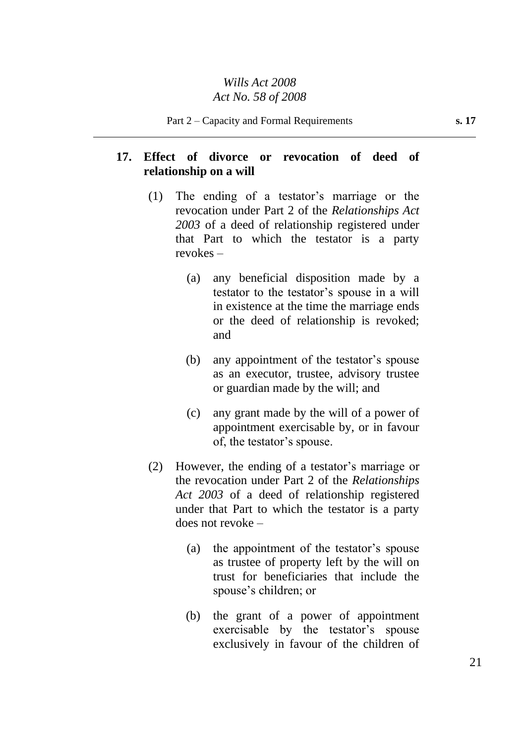## **17. Effect of divorce or revocation of deed of relationship on a will**

- (1) The ending of a testator's marriage or the revocation under Part 2 of the *Relationships Act 2003* of a deed of relationship registered under that Part to which the testator is a party revokes –
	- (a) any beneficial disposition made by a testator to the testator's spouse in a will in existence at the time the marriage ends or the deed of relationship is revoked; and
	- (b) any appointment of the testator's spouse as an executor, trustee, advisory trustee or guardian made by the will; and
	- (c) any grant made by the will of a power of appointment exercisable by, or in favour of, the testator's spouse.
- (2) However, the ending of a testator's marriage or the revocation under Part 2 of the *Relationships Act 2003* of a deed of relationship registered under that Part to which the testator is a party does not revoke –
	- (a) the appointment of the testator's spouse as trustee of property left by the will on trust for beneficiaries that include the spouse's children; or
	- (b) the grant of a power of appointment exercisable by the testator's spouse exclusively in favour of the children of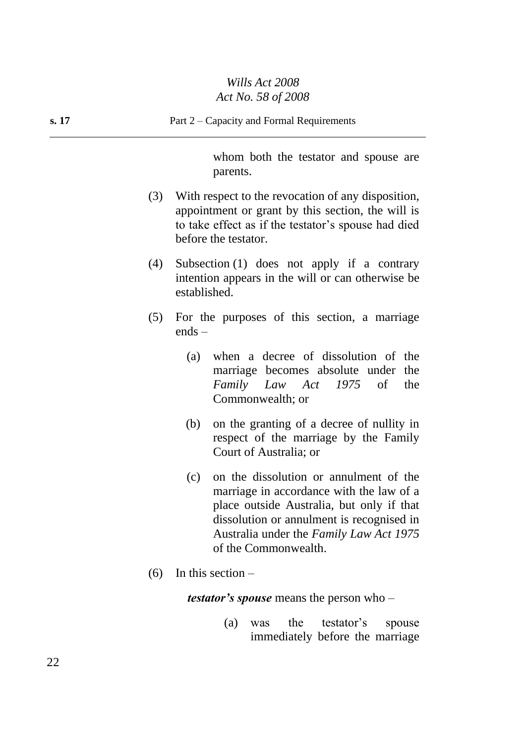# *Wills Act 2008*

|       | Act No. 58 of 2008                                                                                                                                                                            |  |  |
|-------|-----------------------------------------------------------------------------------------------------------------------------------------------------------------------------------------------|--|--|
| s. 17 | Part 2 – Capacity and Formal Requirements                                                                                                                                                     |  |  |
|       | whom both the testator and spouse are<br>parents.                                                                                                                                             |  |  |
|       | With respect to the revocation of any disposition,<br>(3)<br>appointment or grant by this section, the will is<br>to take effect as if the testator's spouse had died<br>before the testator. |  |  |

(4) Subsection (1) does not apply if a contrary intention appears in the will or can otherwise be established.

- (5) For the purposes of this section, a marriage ends –
	- (a) when a decree of dissolution of the marriage becomes absolute under the *Family Law Act 1975* of the Commonwealth; or
	- (b) on the granting of a decree of nullity in respect of the marriage by the Family Court of Australia; or
	- (c) on the dissolution or annulment of the marriage in accordance with the law of a place outside Australia, but only if that dissolution or annulment is recognised in Australia under the *Family Law Act 1975* of the Commonwealth.
- $(6)$  In this section –

*testator's spouse* means the person who –

(a) was the testator's spouse immediately before the marriage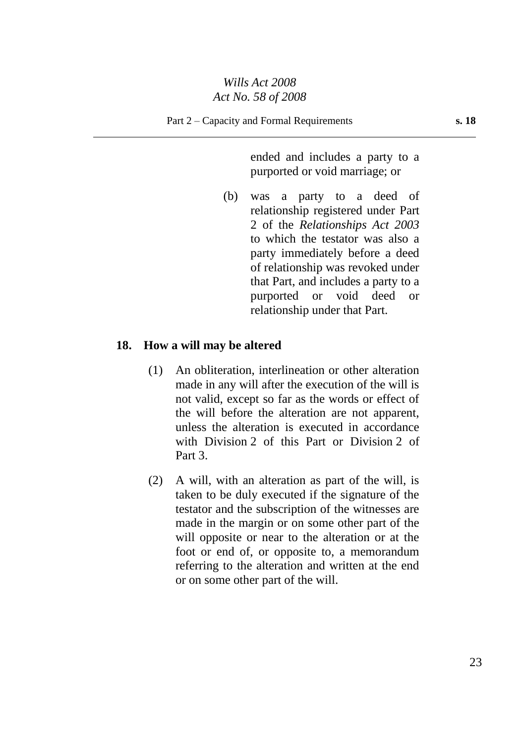ended and includes a party to a purported or void marriage; or

(b) was a party to a deed of relationship registered under Part 2 of the *Relationships Act 2003* to which the testator was also a party immediately before a deed of relationship was revoked under that Part, and includes a party to a purported or void deed or relationship under that Part.

#### **18. How a will may be altered**

- (1) An obliteration, interlineation or other alteration made in any will after the execution of the will is not valid, except so far as the words or effect of the will before the alteration are not apparent, unless the alteration is executed in accordance with Division 2 of this Part or Division 2 of Part 3.
- (2) A will, with an alteration as part of the will, is taken to be duly executed if the signature of the testator and the subscription of the witnesses are made in the margin or on some other part of the will opposite or near to the alteration or at the foot or end of, or opposite to, a memorandum referring to the alteration and written at the end or on some other part of the will.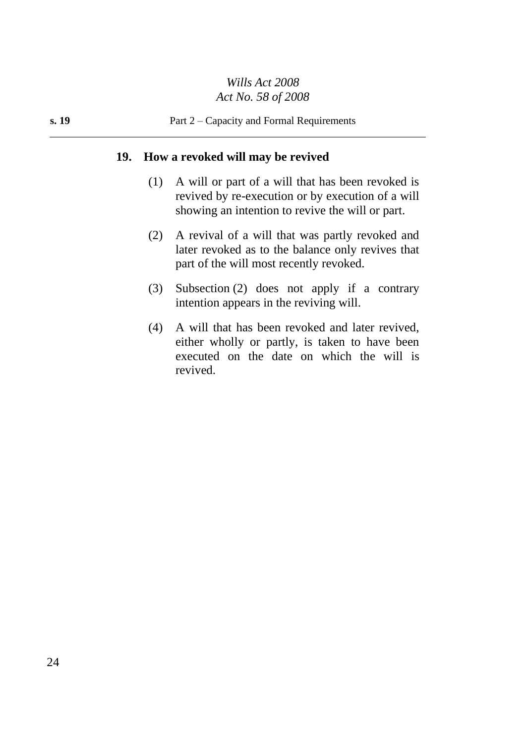## **19. How a revoked will may be revived**

- (1) A will or part of a will that has been revoked is revived by re-execution or by execution of a will showing an intention to revive the will or part.
- (2) A revival of a will that was partly revoked and later revoked as to the balance only revives that part of the will most recently revoked.
- (3) Subsection (2) does not apply if a contrary intention appears in the reviving will.
- (4) A will that has been revoked and later revived, either wholly or partly, is taken to have been executed on the date on which the will is revived.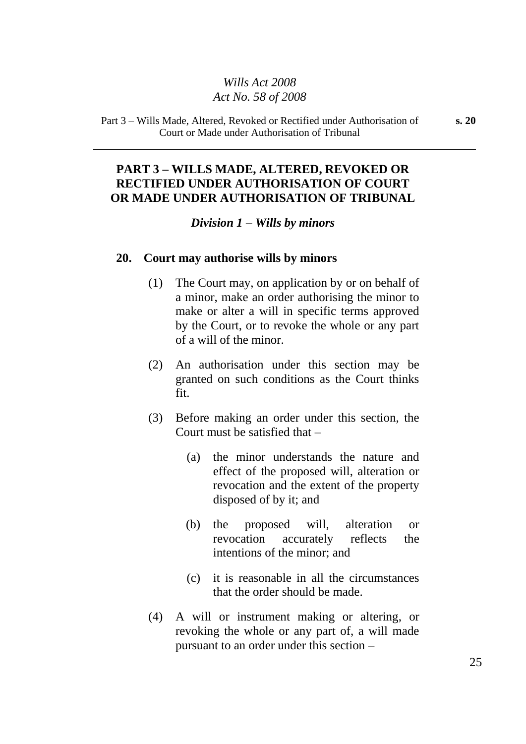Part 3 – Wills Made, Altered, Revoked or Rectified under Authorisation of Court or Made under Authorisation of Tribunal

## **PART 3 – WILLS MADE, ALTERED, REVOKED OR RECTIFIED UNDER AUTHORISATION OF COURT OR MADE UNDER AUTHORISATION OF TRIBUNAL**

#### *Division 1 – Wills by minors*

#### **20. Court may authorise wills by minors**

- (1) The Court may, on application by or on behalf of a minor, make an order authorising the minor to make or alter a will in specific terms approved by the Court, or to revoke the whole or any part of a will of the minor.
- (2) An authorisation under this section may be granted on such conditions as the Court thinks fit.
- (3) Before making an order under this section, the Court must be satisfied that –
	- (a) the minor understands the nature and effect of the proposed will, alteration or revocation and the extent of the property disposed of by it; and
	- (b) the proposed will, alteration or revocation accurately reflects the intentions of the minor; and
	- (c) it is reasonable in all the circumstances that the order should be made.
- (4) A will or instrument making or altering, or revoking the whole or any part of, a will made pursuant to an order under this section –

25

**s. 20**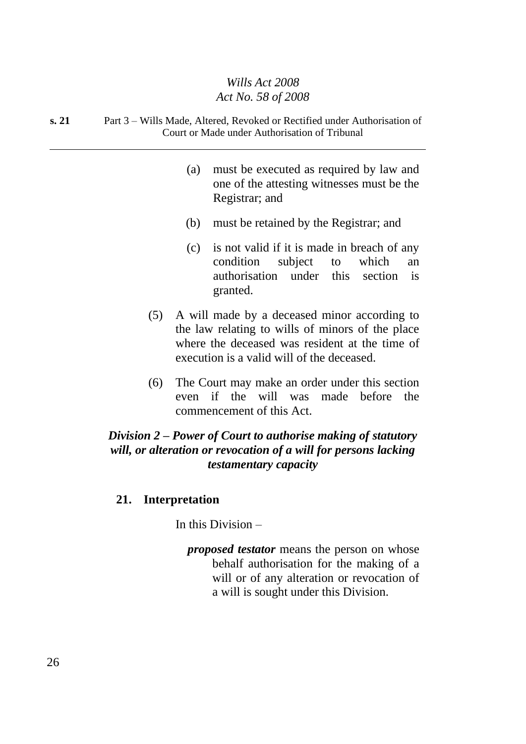#### **s. 21** Part 3 – Wills Made, Altered, Revoked or Rectified under Authorisation of Court or Made under Authorisation of Tribunal

- (a) must be executed as required by law and one of the attesting witnesses must be the Registrar; and
- (b) must be retained by the Registrar; and
- (c) is not valid if it is made in breach of any condition subject to which an authorisation under this section is granted.
- (5) A will made by a deceased minor according to the law relating to wills of minors of the place where the deceased was resident at the time of execution is a valid will of the deceased.
- (6) The Court may make an order under this section even if the will was made before the commencement of this Act.

## *Division 2 – Power of Court to authorise making of statutory will, or alteration or revocation of a will for persons lacking testamentary capacity*

#### **21. Interpretation**

In this Division –

*proposed testator* means the person on whose behalf authorisation for the making of a will or of any alteration or revocation of a will is sought under this Division.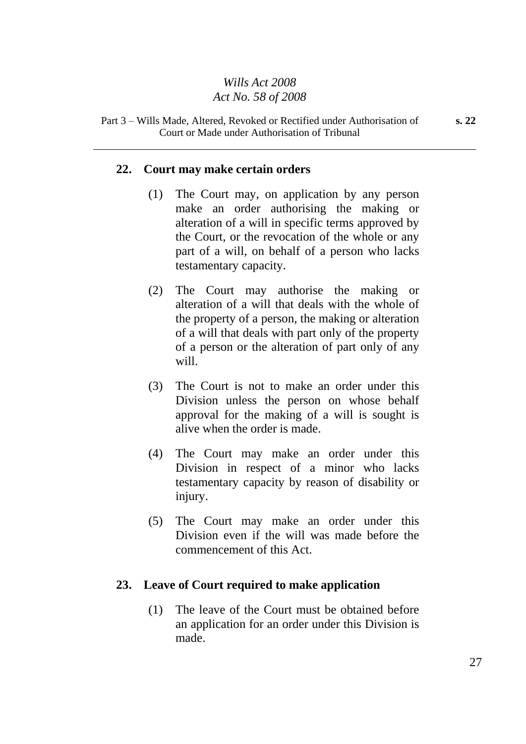#### Part 3 – Wills Made, Altered, Revoked or Rectified under Authorisation of Court or Made under Authorisation of Tribunal

## **22. Court may make certain orders**

- (1) The Court may, on application by any person make an order authorising the making or alteration of a will in specific terms approved by the Court, or the revocation of the whole or any part of a will, on behalf of a person who lacks testamentary capacity.
- (2) The Court may authorise the making or alteration of a will that deals with the whole of the property of a person, the making or alteration of a will that deals with part only of the property of a person or the alteration of part only of any will.
- (3) The Court is not to make an order under this Division unless the person on whose behalf approval for the making of a will is sought is alive when the order is made.
- (4) The Court may make an order under this Division in respect of a minor who lacks testamentary capacity by reason of disability or injury.
- (5) The Court may make an order under this Division even if the will was made before the commencement of this Act.

#### **23. Leave of Court required to make application**

(1) The leave of the Court must be obtained before an application for an order under this Division is made.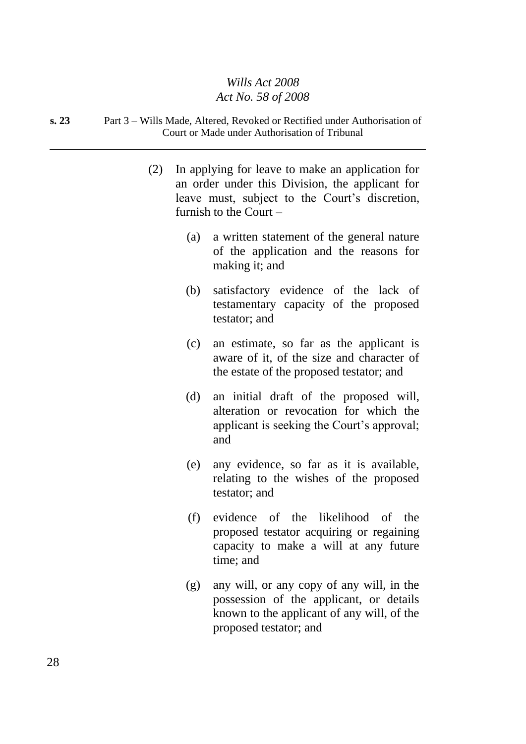#### **s. 23** Part 3 – Wills Made, Altered, Revoked or Rectified under Authorisation of Court or Made under Authorisation of Tribunal

- (2) In applying for leave to make an application for an order under this Division, the applicant for leave must, subject to the Court's discretion, furnish to the Court –
	- (a) a written statement of the general nature of the application and the reasons for making it; and
	- (b) satisfactory evidence of the lack of testamentary capacity of the proposed testator; and
	- (c) an estimate, so far as the applicant is aware of it, of the size and character of the estate of the proposed testator; and
	- (d) an initial draft of the proposed will, alteration or revocation for which the applicant is seeking the Court's approval; and
	- (e) any evidence, so far as it is available, relating to the wishes of the proposed testator; and
	- (f) evidence of the likelihood of the proposed testator acquiring or regaining capacity to make a will at any future time; and
	- (g) any will, or any copy of any will, in the possession of the applicant, or details known to the applicant of any will, of the proposed testator; and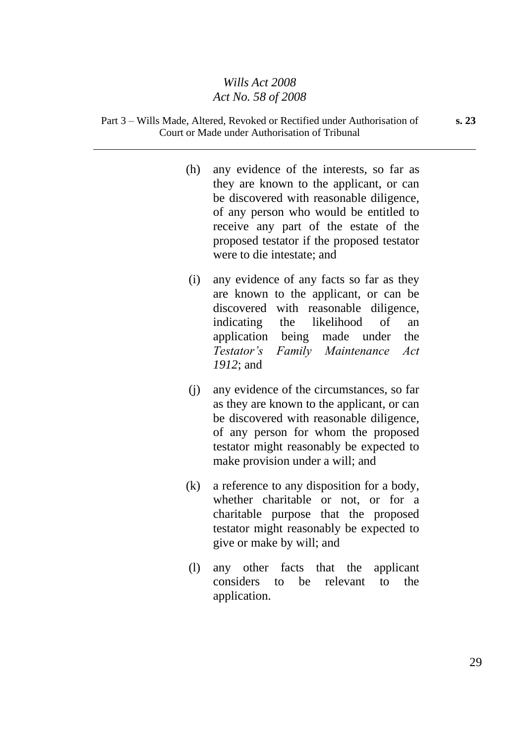- (h) any evidence of the interests, so far as they are known to the applicant, or can be discovered with reasonable diligence, of any person who would be entitled to receive any part of the estate of the proposed testator if the proposed testator were to die intestate; and
- (i) any evidence of any facts so far as they are known to the applicant, or can be discovered with reasonable diligence, indicating the likelihood of an application being made under the *Testator's Family Maintenance Act 1912*; and
- (j) any evidence of the circumstances, so far as they are known to the applicant, or can be discovered with reasonable diligence, of any person for whom the proposed testator might reasonably be expected to make provision under a will; and
- (k) a reference to any disposition for a body, whether charitable or not, or for a charitable purpose that the proposed testator might reasonably be expected to give or make by will; and
- (l) any other facts that the applicant considers to be relevant to the application.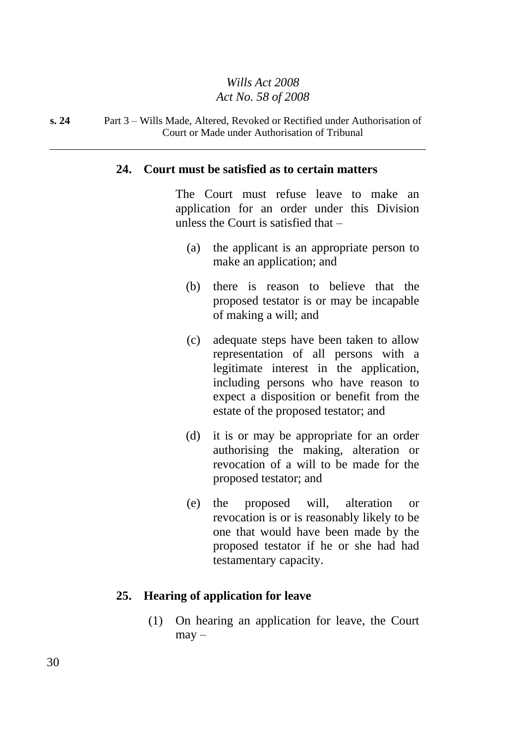#### **s. 24** Part 3 – Wills Made, Altered, Revoked or Rectified under Authorisation of Court or Made under Authorisation of Tribunal

#### **24. Court must be satisfied as to certain matters**

The Court must refuse leave to make an application for an order under this Division unless the Court is satisfied that –

- (a) the applicant is an appropriate person to make an application; and
- (b) there is reason to believe that the proposed testator is or may be incapable of making a will; and
- (c) adequate steps have been taken to allow representation of all persons with a legitimate interest in the application, including persons who have reason to expect a disposition or benefit from the estate of the proposed testator; and
- (d) it is or may be appropriate for an order authorising the making, alteration or revocation of a will to be made for the proposed testator; and
- (e) the proposed will, alteration or revocation is or is reasonably likely to be one that would have been made by the proposed testator if he or she had had testamentary capacity.

#### **25. Hearing of application for leave**

(1) On hearing an application for leave, the Court  $may -$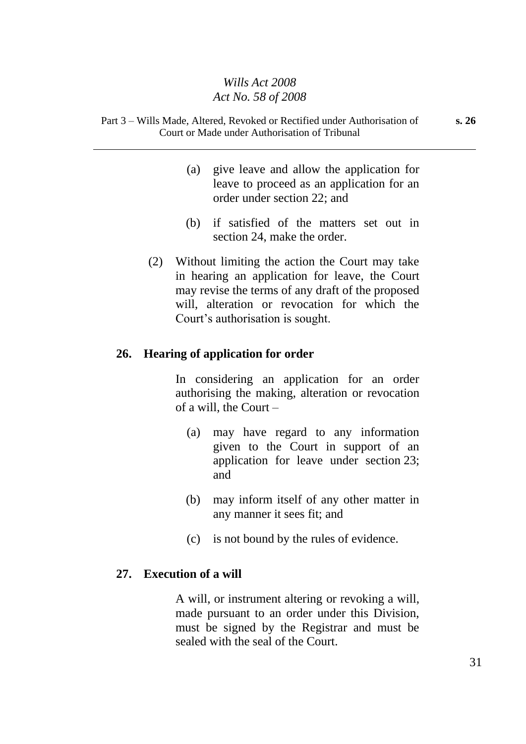Part 3 – Wills Made, Altered, Revoked or Rectified under Authorisation of Court or Made under Authorisation of Tribunal

- (a) give leave and allow the application for leave to proceed as an application for an order under section 22; and
- (b) if satisfied of the matters set out in section 24, make the order.
- (2) Without limiting the action the Court may take in hearing an application for leave, the Court may revise the terms of any draft of the proposed will, alteration or revocation for which the Court's authorisation is sought.

#### **26. Hearing of application for order**

In considering an application for an order authorising the making, alteration or revocation of a will, the Court –

- (a) may have regard to any information given to the Court in support of an application for leave under section 23; and
- (b) may inform itself of any other matter in any manner it sees fit; and
- (c) is not bound by the rules of evidence.

#### **27. Execution of a will**

A will, or instrument altering or revoking a will, made pursuant to an order under this Division, must be signed by the Registrar and must be sealed with the seal of the Court.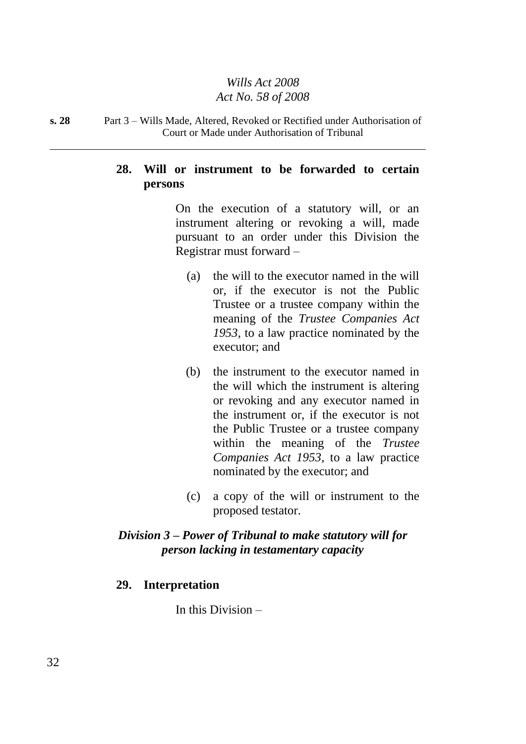#### **s. 28** Part 3 – Wills Made, Altered, Revoked or Rectified under Authorisation of Court or Made under Authorisation of Tribunal

## **28. Will or instrument to be forwarded to certain persons**

On the execution of a statutory will, or an instrument altering or revoking a will, made pursuant to an order under this Division the Registrar must forward –

- (a) the will to the executor named in the will or, if the executor is not the Public Trustee or a trustee company within the meaning of the *Trustee Companies Act 1953*, to a law practice nominated by the executor; and
- (b) the instrument to the executor named in the will which the instrument is altering or revoking and any executor named in the instrument or, if the executor is not the Public Trustee or a trustee company within the meaning of the *Trustee Companies Act 1953*, to a law practice nominated by the executor; and
- (c) a copy of the will or instrument to the proposed testator.

## *Division 3 – Power of Tribunal to make statutory will for person lacking in testamentary capacity*

## **29. Interpretation**

In this Division –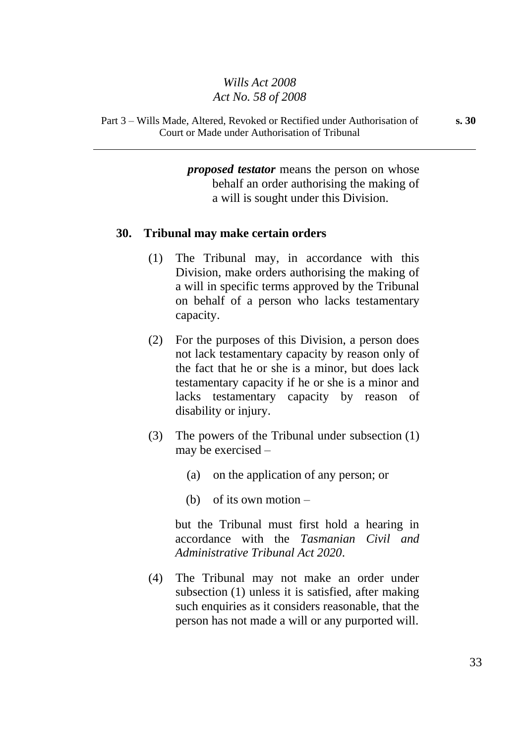Part 3 – Wills Made, Altered, Revoked or Rectified under Authorisation of Court or Made under Authorisation of Tribunal

> *proposed testator* means the person on whose behalf an order authorising the making of a will is sought under this Division.

#### **30. Tribunal may make certain orders**

- (1) The Tribunal may, in accordance with this Division, make orders authorising the making of a will in specific terms approved by the Tribunal on behalf of a person who lacks testamentary capacity.
- (2) For the purposes of this Division, a person does not lack testamentary capacity by reason only of the fact that he or she is a minor, but does lack testamentary capacity if he or she is a minor and lacks testamentary capacity by reason of disability or injury.
- (3) The powers of the Tribunal under subsection (1) may be exercised –
	- (a) on the application of any person; or
	- (b) of its own motion –

but the Tribunal must first hold a hearing in accordance with the *Tasmanian Civil and Administrative Tribunal Act 2020*.

(4) The Tribunal may not make an order under subsection (1) unless it is satisfied, after making such enquiries as it considers reasonable, that the person has not made a will or any purported will.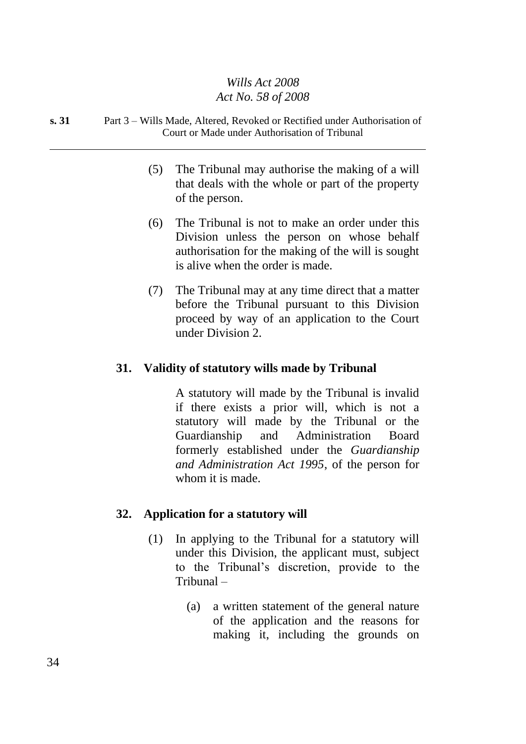#### **s. 31** Part 3 – Wills Made, Altered, Revoked or Rectified under Authorisation of Court or Made under Authorisation of Tribunal

- (5) The Tribunal may authorise the making of a will that deals with the whole or part of the property of the person.
- (6) The Tribunal is not to make an order under this Division unless the person on whose behalf authorisation for the making of the will is sought is alive when the order is made.
- (7) The Tribunal may at any time direct that a matter before the Tribunal pursuant to this Division proceed by way of an application to the Court under Division 2.

## **31. Validity of statutory wills made by Tribunal**

A statutory will made by the Tribunal is invalid if there exists a prior will, which is not a statutory will made by the Tribunal or the Guardianship and Administration Board formerly established under the *Guardianship and Administration Act 1995*, of the person for whom it is made.

## **32. Application for a statutory will**

- (1) In applying to the Tribunal for a statutory will under this Division, the applicant must, subject to the Tribunal's discretion, provide to the Tribunal –
	- (a) a written statement of the general nature of the application and the reasons for making it, including the grounds on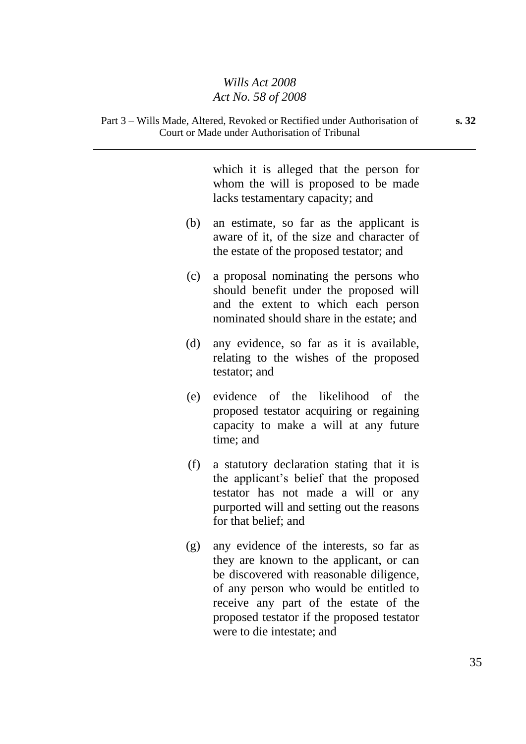Court or Made under Authorisation of Tribunal

which it is alleged that the person for whom the will is proposed to be made lacks testamentary capacity; and (b) an estimate, so far as the applicant is aware of it, of the size and character of the estate of the proposed testator; and (c) a proposal nominating the persons who should benefit under the proposed will and the extent to which each person nominated should share in the estate; and (d) any evidence, so far as it is available, relating to the wishes of the proposed testator; and (e) evidence of the likelihood of the proposed testator acquiring or regaining capacity to make a will at any future time; and (f) a statutory declaration stating that it is the applicant's belief that the proposed testator has not made a will or any purported will and setting out the reasons for that belief; and (g) any evidence of the interests, so far as they are known to the applicant, or can be discovered with reasonable diligence, of any person who would be entitled to receive any part of the estate of the proposed testator if the proposed testator were to die intestate; and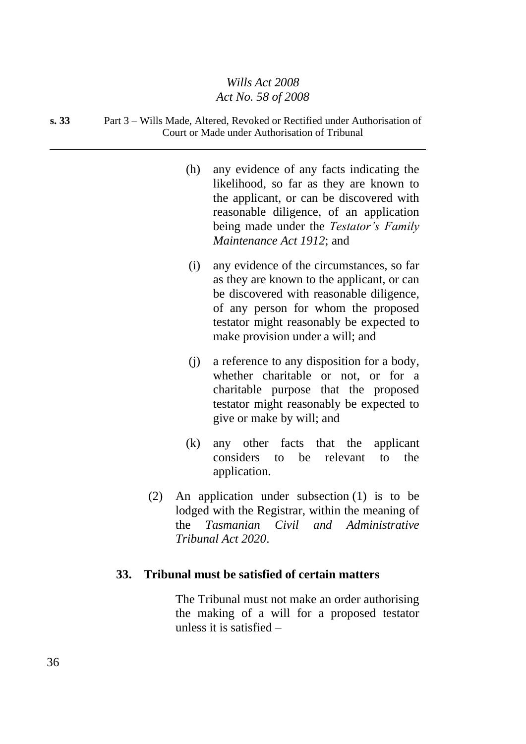#### **s. 33** Part 3 – Wills Made, Altered, Revoked or Rectified under Authorisation of Court or Made under Authorisation of Tribunal

- (h) any evidence of any facts indicating the likelihood, so far as they are known to the applicant, or can be discovered with reasonable diligence, of an application being made under the *Testator's Family Maintenance Act 1912*; and
- (i) any evidence of the circumstances, so far as they are known to the applicant, or can be discovered with reasonable diligence, of any person for whom the proposed testator might reasonably be expected to make provision under a will; and
- (j) a reference to any disposition for a body, whether charitable or not, or for a charitable purpose that the proposed testator might reasonably be expected to give or make by will; and
- (k) any other facts that the applicant considers to be relevant to the application.
- (2) An application under subsection (1) is to be lodged with the Registrar, within the meaning of the *Tasmanian Civil and Administrative Tribunal Act 2020*.

#### **33. Tribunal must be satisfied of certain matters**

The Tribunal must not make an order authorising the making of a will for a proposed testator unless it is satisfied –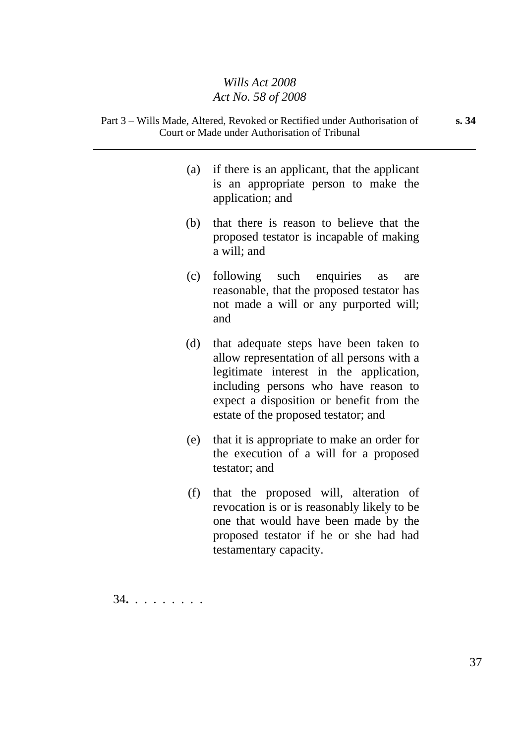- Part 3 Wills Made, Altered, Revoked or Rectified under Authorisation of Court or Made under Authorisation of Tribunal
	- (a) if there is an applicant, that the applicant is an appropriate person to make the application; and
	- (b) that there is reason to believe that the proposed testator is incapable of making a will; and
	- (c) following such enquiries as are reasonable, that the proposed testator has not made a will or any purported will; and
	- (d) that adequate steps have been taken to allow representation of all persons with a legitimate interest in the application, including persons who have reason to expect a disposition or benefit from the estate of the proposed testator; and
	- (e) that it is appropriate to make an order for the execution of a will for a proposed testator; and
	- (f) that the proposed will, alteration of revocation is or is reasonably likely to be one that would have been made by the proposed testator if he or she had had testamentary capacity.

34**.** . . . . . . . .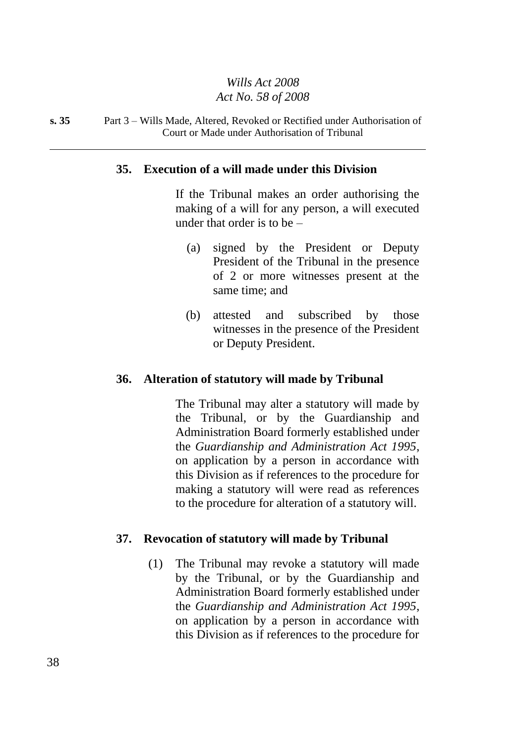#### **s. 35** Part 3 – Wills Made, Altered, Revoked or Rectified under Authorisation of Court or Made under Authorisation of Tribunal

#### **35. Execution of a will made under this Division**

If the Tribunal makes an order authorising the making of a will for any person, a will executed under that order is to be –

- (a) signed by the President or Deputy President of the Tribunal in the presence of 2 or more witnesses present at the same time; and
- (b) attested and subscribed by those witnesses in the presence of the President or Deputy President.

#### **36. Alteration of statutory will made by Tribunal**

The Tribunal may alter a statutory will made by the Tribunal, or by the Guardianship and Administration Board formerly established under the *Guardianship and Administration Act 1995*, on application by a person in accordance with this Division as if references to the procedure for making a statutory will were read as references to the procedure for alteration of a statutory will.

#### **37. Revocation of statutory will made by Tribunal**

(1) The Tribunal may revoke a statutory will made by the Tribunal, or by the Guardianship and Administration Board formerly established under the *Guardianship and Administration Act 1995*, on application by a person in accordance with this Division as if references to the procedure for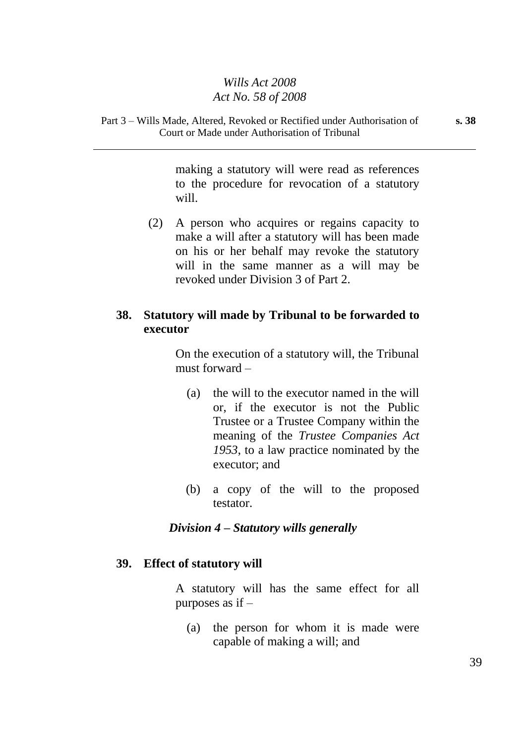Part 3 – Wills Made, Altered, Revoked or Rectified under Authorisation of Court or Made under Authorisation of Tribunal

> making a statutory will were read as references to the procedure for revocation of a statutory will.

(2) A person who acquires or regains capacity to make a will after a statutory will has been made on his or her behalf may revoke the statutory will in the same manner as a will may be revoked under Division 3 of Part 2.

## **38. Statutory will made by Tribunal to be forwarded to executor**

On the execution of a statutory will, the Tribunal must forward –

- (a) the will to the executor named in the will or, if the executor is not the Public Trustee or a Trustee Company within the meaning of the *Trustee Companies Act 1953*, to a law practice nominated by the executor; and
- (b) a copy of the will to the proposed testator.

#### *Division 4 – Statutory wills generally*

#### **39. Effect of statutory will**

A statutory will has the same effect for all purposes as if –

(a) the person for whom it is made were capable of making a will; and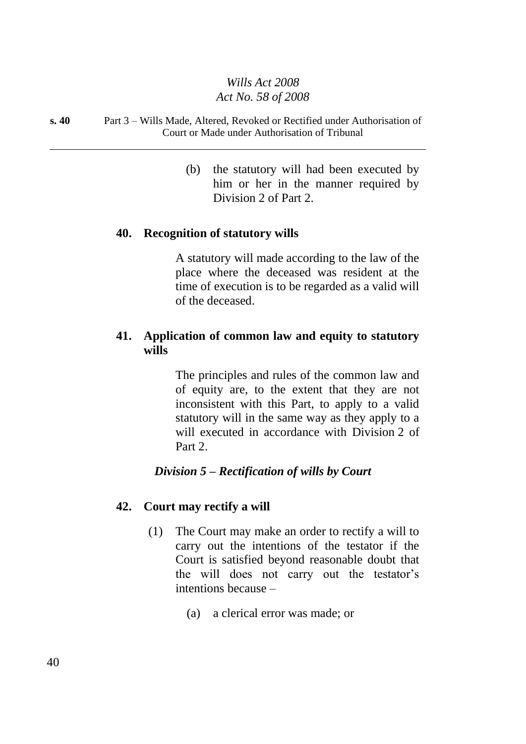#### **s. 40** Part 3 – Wills Made, Altered, Revoked or Rectified under Authorisation of Court or Made under Authorisation of Tribunal

(b) the statutory will had been executed by him or her in the manner required by Division 2 of Part 2.

#### **40. Recognition of statutory wills**

A statutory will made according to the law of the place where the deceased was resident at the time of execution is to be regarded as a valid will of the deceased.

## **41. Application of common law and equity to statutory wills**

The principles and rules of the common law and of equity are, to the extent that they are not inconsistent with this Part, to apply to a valid statutory will in the same way as they apply to a will executed in accordance with Division 2 of Part 2.

#### *Division 5 – Rectification of wills by Court*

#### **42. Court may rectify a will**

- (1) The Court may make an order to rectify a will to carry out the intentions of the testator if the Court is satisfied beyond reasonable doubt that the will does not carry out the testator's intentions because –
	- (a) a clerical error was made; or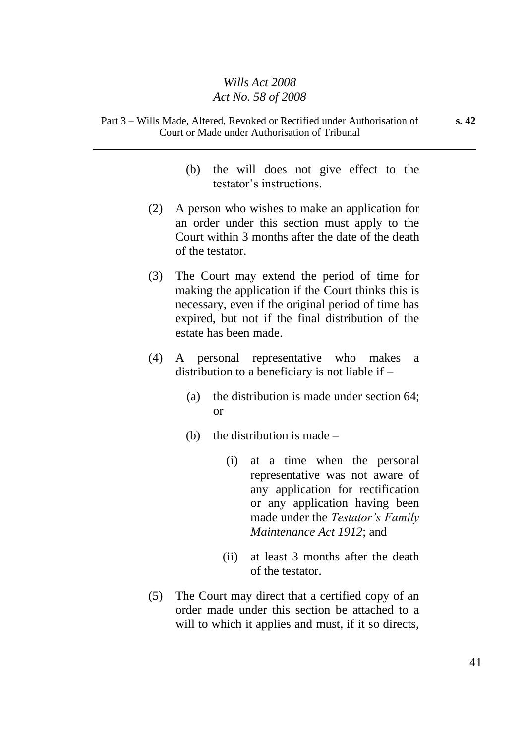- (b) the will does not give effect to the testator's instructions.
- (2) A person who wishes to make an application for an order under this section must apply to the Court within 3 months after the date of the death of the testator.
- (3) The Court may extend the period of time for making the application if the Court thinks this is necessary, even if the original period of time has expired, but not if the final distribution of the estate has been made.
- (4) A personal representative who makes a distribution to a beneficiary is not liable if –
	- (a) the distribution is made under section 64; or
	- (b) the distribution is made  $-$ 
		- (i) at a time when the personal representative was not aware of any application for rectification or any application having been made under the *Testator's Family Maintenance Act 1912*; and
		- (ii) at least 3 months after the death of the testator.
- (5) The Court may direct that a certified copy of an order made under this section be attached to a will to which it applies and must, if it so directs,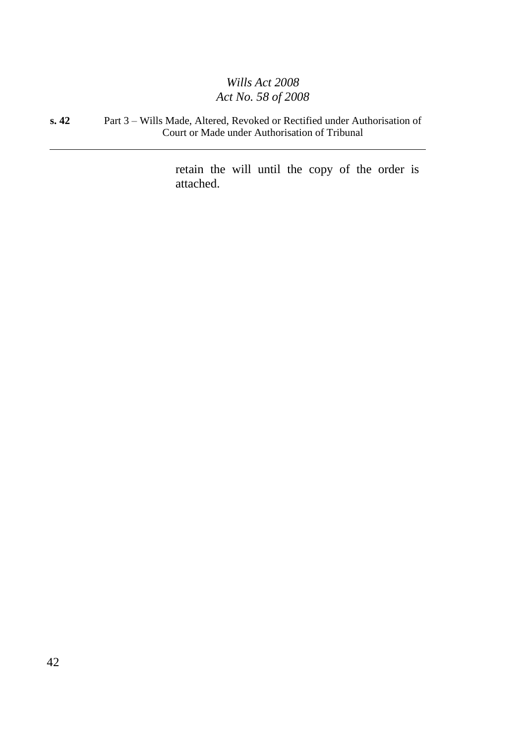#### **s. 42** Part 3 – Wills Made, Altered, Revoked or Rectified under Authorisation of Court or Made under Authorisation of Tribunal

retain the will until the copy of the order is attached.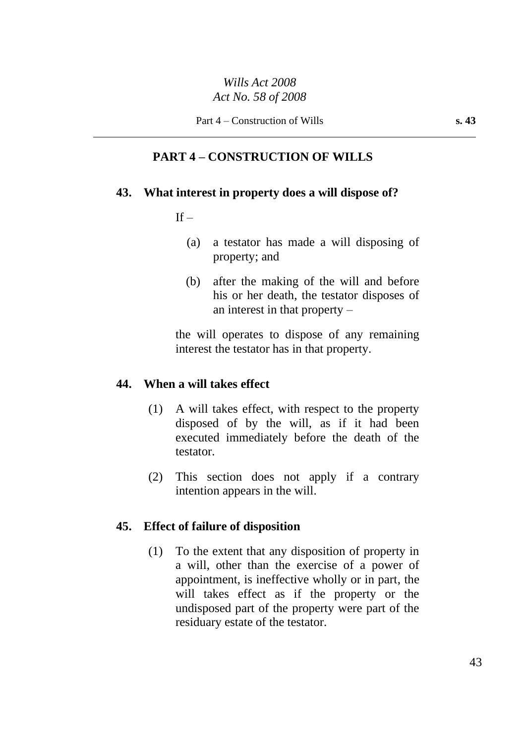## **PART 4 – CONSTRUCTION OF WILLS**

## **43. What interest in property does a will dispose of?**

## $If -$

- (a) a testator has made a will disposing of property; and
- (b) after the making of the will and before his or her death, the testator disposes of an interest in that property –

the will operates to dispose of any remaining interest the testator has in that property.

## **44. When a will takes effect**

- (1) A will takes effect, with respect to the property disposed of by the will, as if it had been executed immediately before the death of the testator.
- (2) This section does not apply if a contrary intention appears in the will.

## **45. Effect of failure of disposition**

(1) To the extent that any disposition of property in a will, other than the exercise of a power of appointment, is ineffective wholly or in part, the will takes effect as if the property or the undisposed part of the property were part of the residuary estate of the testator.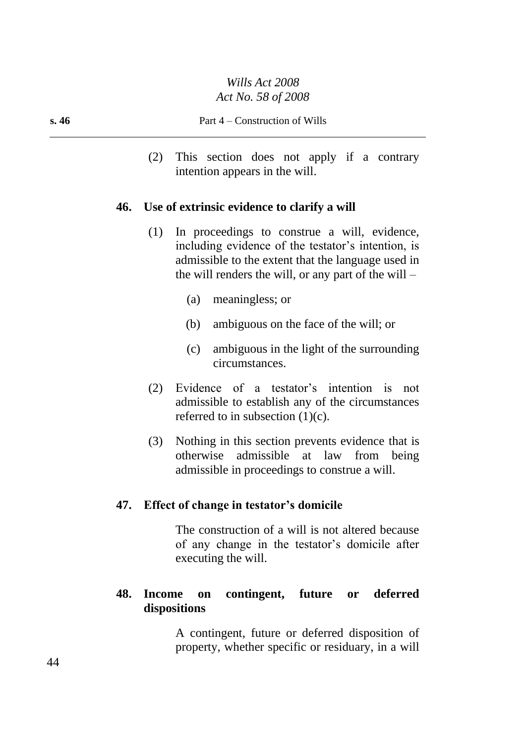(2) This section does not apply if a contrary intention appears in the will.

## **46. Use of extrinsic evidence to clarify a will**

- (1) In proceedings to construe a will, evidence, including evidence of the testator's intention, is admissible to the extent that the language used in the will renders the will, or any part of the will  $-$ 
	- (a) meaningless; or
	- (b) ambiguous on the face of the will; or
	- (c) ambiguous in the light of the surrounding circumstances.
- (2) Evidence of a testator's intention is not admissible to establish any of the circumstances referred to in subsection  $(1)(c)$ .
- (3) Nothing in this section prevents evidence that is otherwise admissible at law from being admissible in proceedings to construe a will.

#### **47. Effect of change in testator's domicile**

The construction of a will is not altered because of any change in the testator's domicile after executing the will.

## **48. Income on contingent, future or deferred dispositions**

A contingent, future or deferred disposition of property, whether specific or residuary, in a will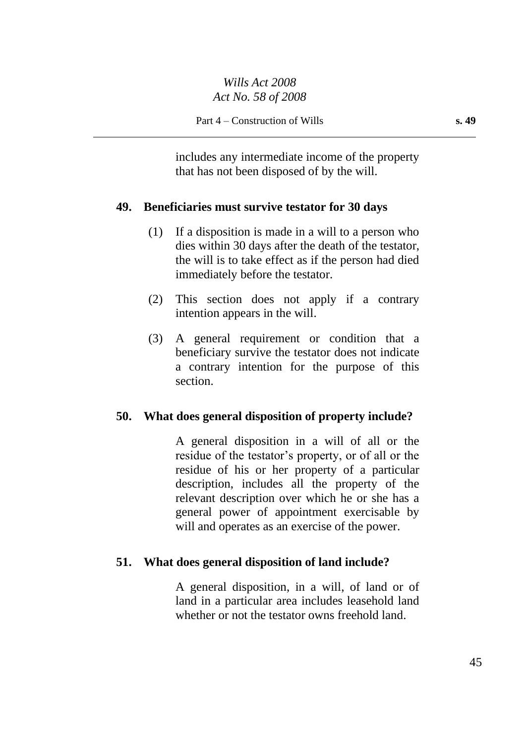includes any intermediate income of the property that has not been disposed of by the will.

## **49. Beneficiaries must survive testator for 30 days**

- (1) If a disposition is made in a will to a person who dies within 30 days after the death of the testator, the will is to take effect as if the person had died immediately before the testator.
- (2) This section does not apply if a contrary intention appears in the will.
- (3) A general requirement or condition that a beneficiary survive the testator does not indicate a contrary intention for the purpose of this section.

## **50. What does general disposition of property include?**

A general disposition in a will of all or the residue of the testator's property, or of all or the residue of his or her property of a particular description, includes all the property of the relevant description over which he or she has a general power of appointment exercisable by will and operates as an exercise of the power.

## **51. What does general disposition of land include?**

A general disposition, in a will, of land or of land in a particular area includes leasehold land whether or not the testator owns freehold land.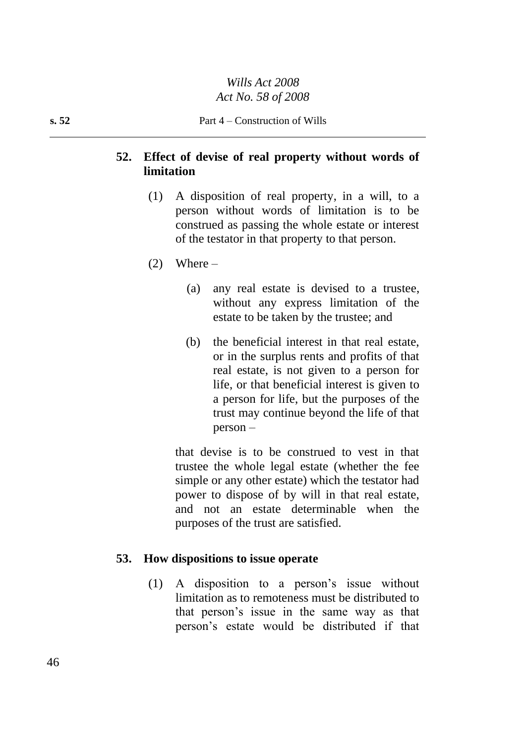## **52. Effect of devise of real property without words of limitation**

- (1) A disposition of real property, in a will, to a person without words of limitation is to be construed as passing the whole estate or interest of the testator in that property to that person.
- $(2)$  Where
	- (a) any real estate is devised to a trustee, without any express limitation of the estate to be taken by the trustee; and
	- (b) the beneficial interest in that real estate, or in the surplus rents and profits of that real estate, is not given to a person for life, or that beneficial interest is given to a person for life, but the purposes of the trust may continue beyond the life of that person –

that devise is to be construed to vest in that trustee the whole legal estate (whether the fee simple or any other estate) which the testator had power to dispose of by will in that real estate, and not an estate determinable when the purposes of the trust are satisfied.

#### **53. How dispositions to issue operate**

(1) A disposition to a person's issue without limitation as to remoteness must be distributed to that person's issue in the same way as that person's estate would be distributed if that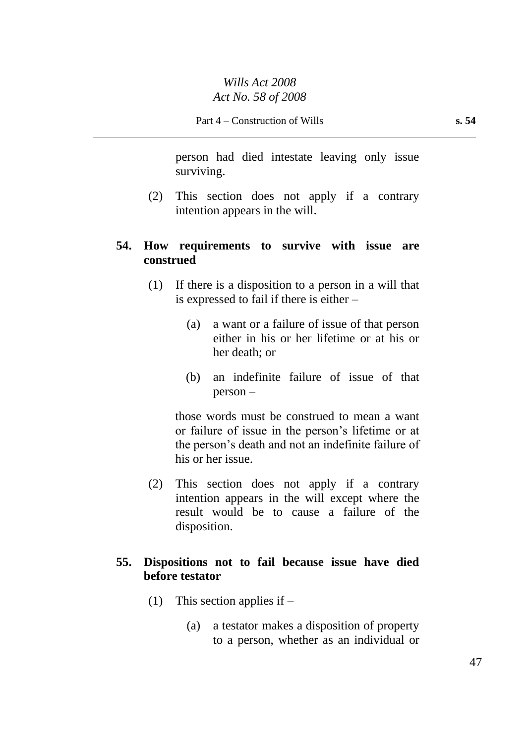person had died intestate leaving only issue surviving.

(2) This section does not apply if a contrary intention appears in the will.

## **54. How requirements to survive with issue are construed**

- (1) If there is a disposition to a person in a will that is expressed to fail if there is either –
	- (a) a want or a failure of issue of that person either in his or her lifetime or at his or her death; or
	- (b) an indefinite failure of issue of that person –

those words must be construed to mean a want or failure of issue in the person's lifetime or at the person's death and not an indefinite failure of his or her issue.

(2) This section does not apply if a contrary intention appears in the will except where the result would be to cause a failure of the disposition.

## **55. Dispositions not to fail because issue have died before testator**

- (1) This section applies if
	- (a) a testator makes a disposition of property to a person, whether as an individual or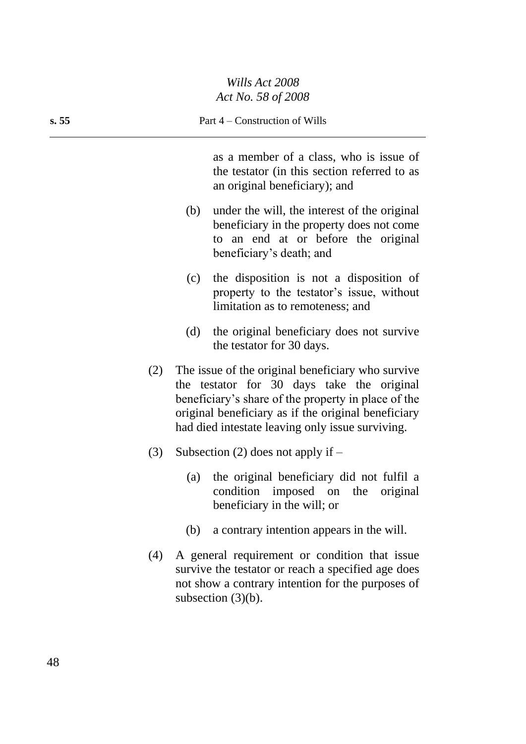as a member of a class, who is issue of the testator (in this section referred to as an original beneficiary); and

- (b) under the will, the interest of the original beneficiary in the property does not come to an end at or before the original beneficiary's death; and
- (c) the disposition is not a disposition of property to the testator's issue, without limitation as to remoteness; and
- (d) the original beneficiary does not survive the testator for 30 days.
- (2) The issue of the original beneficiary who survive the testator for 30 days take the original beneficiary's share of the property in place of the original beneficiary as if the original beneficiary had died intestate leaving only issue surviving.
- (3) Subsection (2) does not apply if  $-$ 
	- (a) the original beneficiary did not fulfil a condition imposed on the original beneficiary in the will; or
	- (b) a contrary intention appears in the will.
- (4) A general requirement or condition that issue survive the testator or reach a specified age does not show a contrary intention for the purposes of subsection  $(3)(b)$ .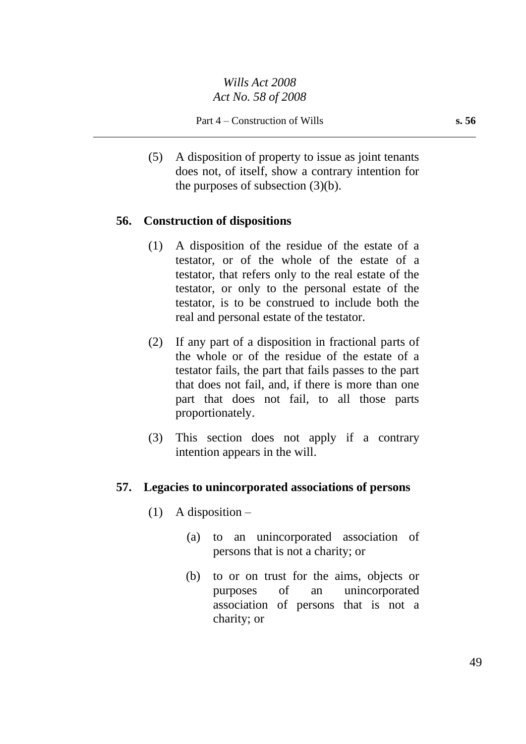(5) A disposition of property to issue as joint tenants does not, of itself, show a contrary intention for the purposes of subsection (3)(b).

## **56. Construction of dispositions**

- (1) A disposition of the residue of the estate of a testator, or of the whole of the estate of a testator, that refers only to the real estate of the testator, or only to the personal estate of the testator, is to be construed to include both the real and personal estate of the testator.
- (2) If any part of a disposition in fractional parts of the whole or of the residue of the estate of a testator fails, the part that fails passes to the part that does not fail, and, if there is more than one part that does not fail, to all those parts proportionately.
- (3) This section does not apply if a contrary intention appears in the will.

#### **57. Legacies to unincorporated associations of persons**

- (1) A disposition  $-$ 
	- (a) to an unincorporated association of persons that is not a charity; or
	- (b) to or on trust for the aims, objects or purposes of an unincorporated association of persons that is not a charity; or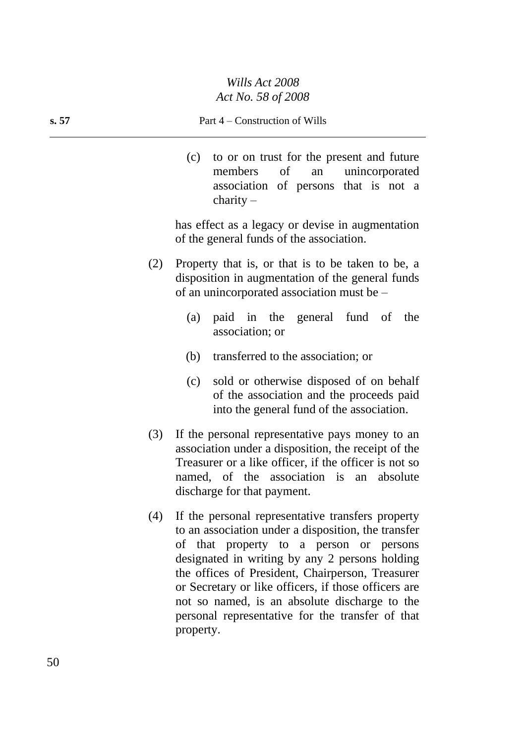#### **s. 57** Part 4 – Construction of Wills

(c) to or on trust for the present and future members of an unincorporated association of persons that is not a charity –

has effect as a legacy or devise in augmentation of the general funds of the association.

- (2) Property that is, or that is to be taken to be, a disposition in augmentation of the general funds of an unincorporated association must be –
	- (a) paid in the general fund of the association; or
	- (b) transferred to the association; or
	- (c) sold or otherwise disposed of on behalf of the association and the proceeds paid into the general fund of the association.
- (3) If the personal representative pays money to an association under a disposition, the receipt of the Treasurer or a like officer, if the officer is not so named, of the association is an absolute discharge for that payment.
- (4) If the personal representative transfers property to an association under a disposition, the transfer of that property to a person or persons designated in writing by any 2 persons holding the offices of President, Chairperson, Treasurer or Secretary or like officers, if those officers are not so named, is an absolute discharge to the personal representative for the transfer of that property.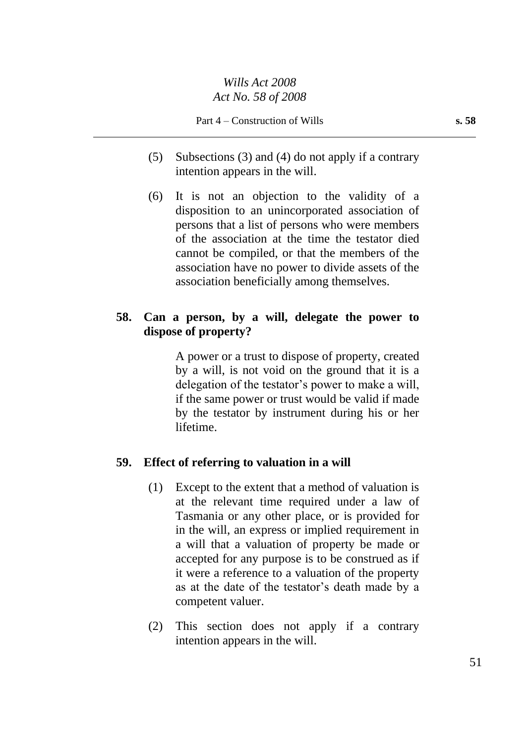- (5) Subsections (3) and (4) do not apply if a contrary intention appears in the will.
- (6) It is not an objection to the validity of a disposition to an unincorporated association of persons that a list of persons who were members of the association at the time the testator died cannot be compiled, or that the members of the association have no power to divide assets of the association beneficially among themselves.

## **58. Can a person, by a will, delegate the power to dispose of property?**

A power or a trust to dispose of property, created by a will, is not void on the ground that it is a delegation of the testator's power to make a will, if the same power or trust would be valid if made by the testator by instrument during his or her lifetime.

#### **59. Effect of referring to valuation in a will**

- (1) Except to the extent that a method of valuation is at the relevant time required under a law of Tasmania or any other place, or is provided for in the will, an express or implied requirement in a will that a valuation of property be made or accepted for any purpose is to be construed as if it were a reference to a valuation of the property as at the date of the testator's death made by a competent valuer.
- (2) This section does not apply if a contrary intention appears in the will.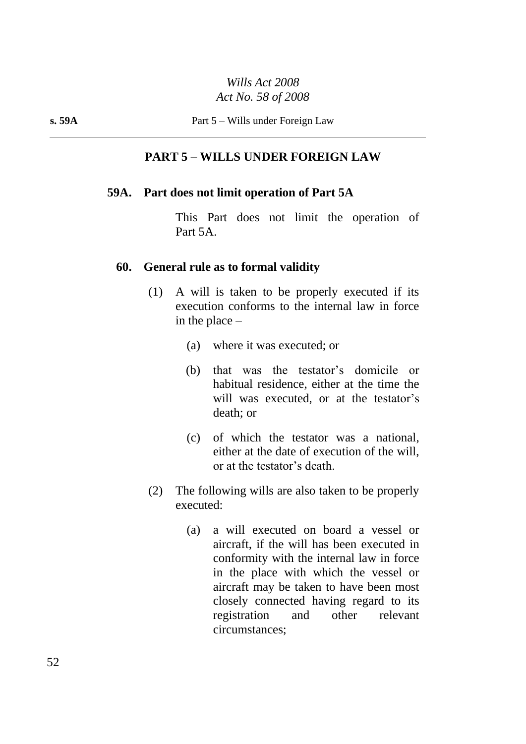#### **PART 5 – WILLS UNDER FOREIGN LAW**

#### **59A. Part does not limit operation of Part 5A**

This Part does not limit the operation of Part 5A.

#### **60. General rule as to formal validity**

- (1) A will is taken to be properly executed if its execution conforms to the internal law in force in the place –
	- (a) where it was executed; or
	- (b) that was the testator's domicile or habitual residence, either at the time the will was executed, or at the testator's death; or
	- (c) of which the testator was a national, either at the date of execution of the will, or at the testator's death.
- (2) The following wills are also taken to be properly executed:
	- (a) a will executed on board a vessel or aircraft, if the will has been executed in conformity with the internal law in force in the place with which the vessel or aircraft may be taken to have been most closely connected having regard to its registration and other relevant circumstances;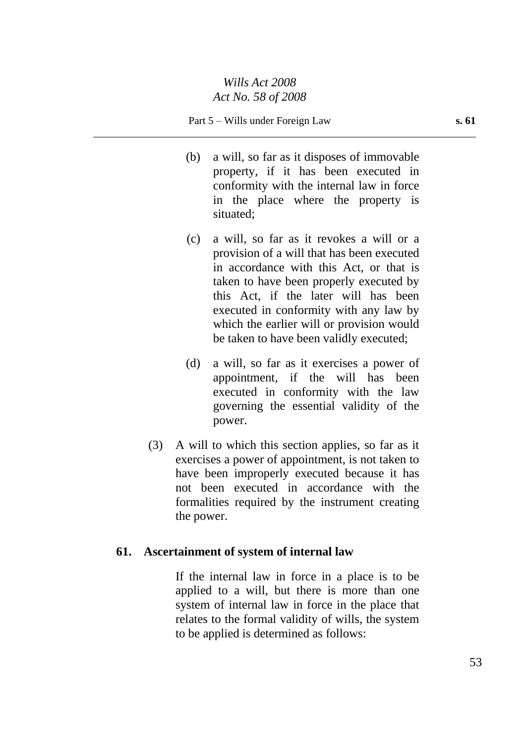#### Part 5 – Wills under Foreign Law **s. 61**

- (b) a will, so far as it disposes of immovable property, if it has been executed in conformity with the internal law in force in the place where the property is situated;
- (c) a will, so far as it revokes a will or a provision of a will that has been executed in accordance with this Act, or that is taken to have been properly executed by this Act, if the later will has been executed in conformity with any law by which the earlier will or provision would be taken to have been validly executed;
- (d) a will, so far as it exercises a power of appointment, if the will has been executed in conformity with the law governing the essential validity of the power.
- (3) A will to which this section applies, so far as it exercises a power of appointment, is not taken to have been improperly executed because it has not been executed in accordance with the formalities required by the instrument creating the power.

#### **61. Ascertainment of system of internal law**

If the internal law in force in a place is to be applied to a will, but there is more than one system of internal law in force in the place that relates to the formal validity of wills, the system to be applied is determined as follows: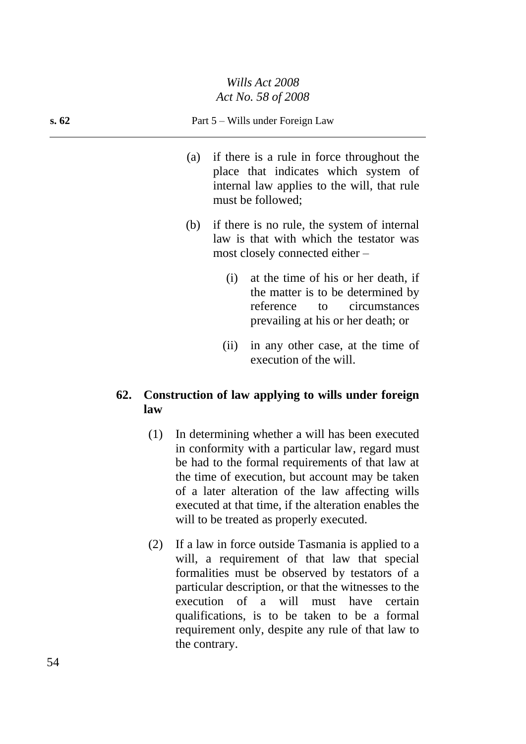#### **s. 62** Part 5 – Wills under Foreign Law

- (a) if there is a rule in force throughout the place that indicates which system of internal law applies to the will, that rule must be followed;
- (b) if there is no rule, the system of internal law is that with which the testator was most closely connected either –
	- (i) at the time of his or her death, if the matter is to be determined by reference to circumstances prevailing at his or her death; or
	- (ii) in any other case, at the time of execution of the will.

## **62. Construction of law applying to wills under foreign law**

- (1) In determining whether a will has been executed in conformity with a particular law, regard must be had to the formal requirements of that law at the time of execution, but account may be taken of a later alteration of the law affecting wills executed at that time, if the alteration enables the will to be treated as properly executed.
- (2) If a law in force outside Tasmania is applied to a will, a requirement of that law that special formalities must be observed by testators of a particular description, or that the witnesses to the execution of a will must have certain qualifications, is to be taken to be a formal requirement only, despite any rule of that law to the contrary.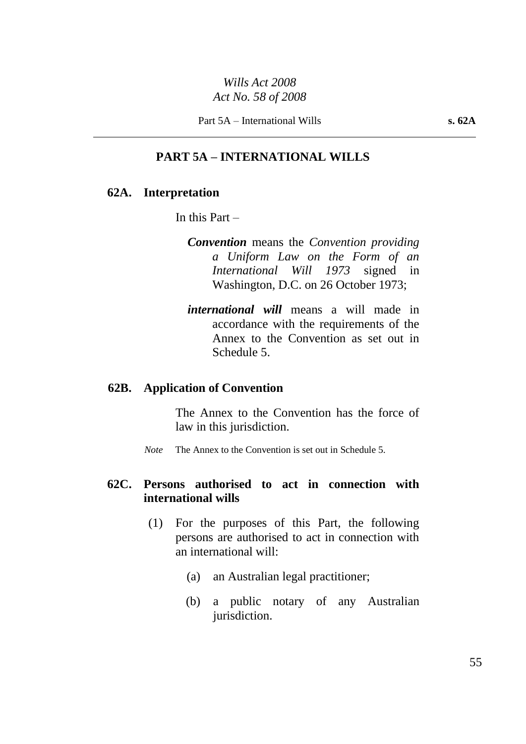Part 5A – International Wills **s. 62A**

#### **PART 5A – INTERNATIONAL WILLS**

#### **62A. Interpretation**

In this Part  $-$ 

- *Convention* means the *Convention providing a Uniform Law on the Form of an International Will 1973* signed in Washington, D.C. on 26 October 1973;
- *international will* means a will made in accordance with the requirements of the Annex to the Convention as set out in Schedule 5.

#### **62B. Application of Convention**

The Annex to the Convention has the force of law in this jurisdiction.

*Note* The Annex to the Convention is set out in Schedule 5.

#### **62C. Persons authorised to act in connection with international wills**

- (1) For the purposes of this Part, the following persons are authorised to act in connection with an international will:
	- (a) an Australian legal practitioner;
	- (b) a public notary of any Australian jurisdiction.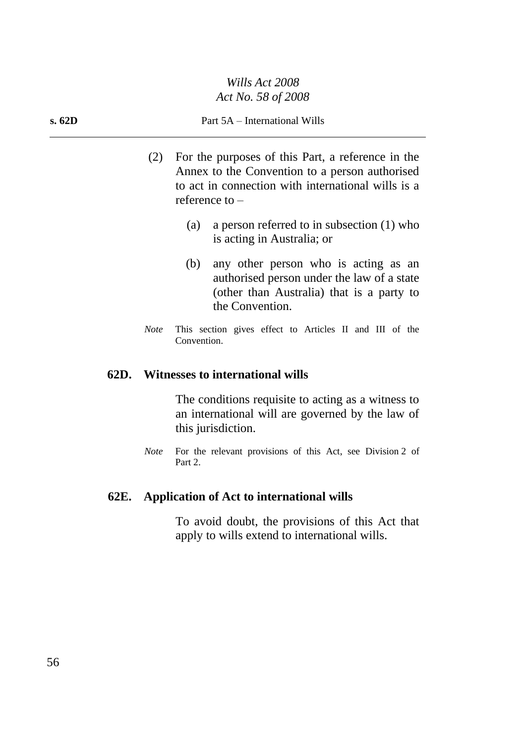#### **s. 62D** Part 5A – International Wills

- (2) For the purposes of this Part, a reference in the Annex to the Convention to a person authorised to act in connection with international wills is a reference to –
	- (a) a person referred to in subsection (1) who is acting in Australia; or
	- (b) any other person who is acting as an authorised person under the law of a state (other than Australia) that is a party to the Convention.
- *Note* This section gives effect to Articles II and III of the Convention.

#### **62D. Witnesses to international wills**

The conditions requisite to acting as a witness to an international will are governed by the law of this jurisdiction.

*Note* For the relevant provisions of this Act, see Division 2 of Part 2.

#### **62E. Application of Act to international wills**

To avoid doubt, the provisions of this Act that apply to wills extend to international wills.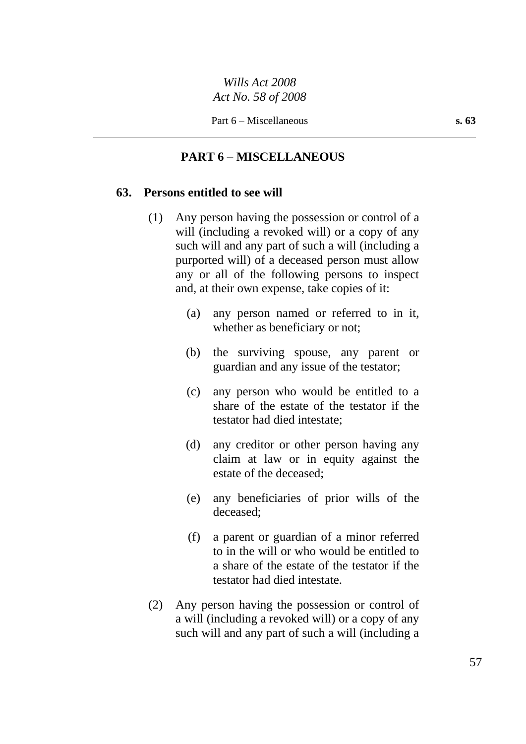## **PART 6 – MISCELLANEOUS**

#### **63. Persons entitled to see will**

- (1) Any person having the possession or control of a will (including a revoked will) or a copy of any such will and any part of such a will (including a purported will) of a deceased person must allow any or all of the following persons to inspect and, at their own expense, take copies of it:
	- (a) any person named or referred to in it, whether as beneficiary or not;
	- (b) the surviving spouse, any parent or guardian and any issue of the testator;
	- (c) any person who would be entitled to a share of the estate of the testator if the testator had died intestate;
	- (d) any creditor or other person having any claim at law or in equity against the estate of the deceased;
	- (e) any beneficiaries of prior wills of the deceased;
	- (f) a parent or guardian of a minor referred to in the will or who would be entitled to a share of the estate of the testator if the testator had died intestate.
- (2) Any person having the possession or control of a will (including a revoked will) or a copy of any such will and any part of such a will (including a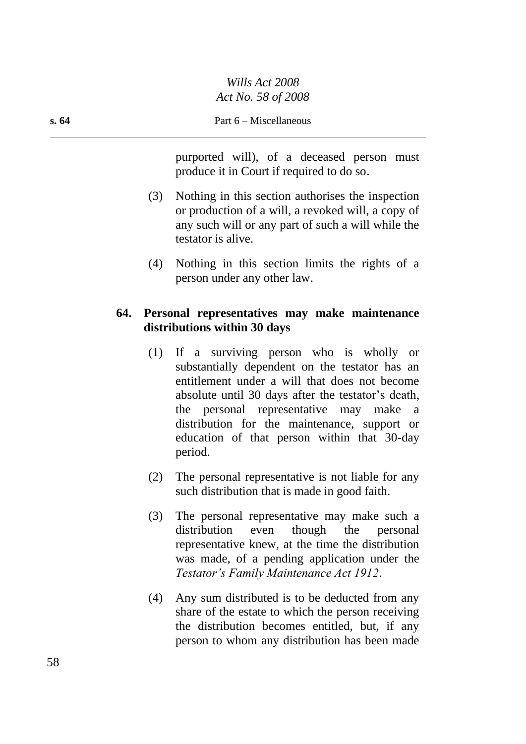purported will), of a deceased person must produce it in Court if required to do so.

- (3) Nothing in this section authorises the inspection or production of a will, a revoked will, a copy of any such will or any part of such a will while the testator is alive.
- (4) Nothing in this section limits the rights of a person under any other law.

## **64. Personal representatives may make maintenance distributions within 30 days**

- (1) If a surviving person who is wholly or substantially dependent on the testator has an entitlement under a will that does not become absolute until 30 days after the testator's death, the personal representative may make a distribution for the maintenance, support or education of that person within that 30-day period.
- (2) The personal representative is not liable for any such distribution that is made in good faith.
- (3) The personal representative may make such a distribution even though the personal representative knew, at the time the distribution was made, of a pending application under the *Testator's Family Maintenance Act 1912*.
- (4) Any sum distributed is to be deducted from any share of the estate to which the person receiving the distribution becomes entitled, but, if any person to whom any distribution has been made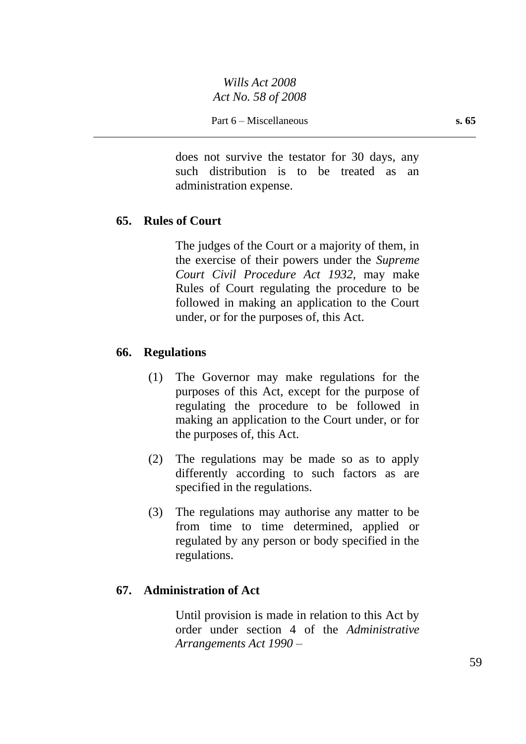does not survive the testator for 30 days, any such distribution is to be treated as an administration expense.

## **65. Rules of Court**

The judges of the Court or a majority of them, in the exercise of their powers under the *Supreme Court Civil Procedure Act 1932*, may make Rules of Court regulating the procedure to be followed in making an application to the Court under, or for the purposes of, this Act.

#### **66. Regulations**

- (1) The Governor may make regulations for the purposes of this Act, except for the purpose of regulating the procedure to be followed in making an application to the Court under, or for the purposes of, this Act.
- (2) The regulations may be made so as to apply differently according to such factors as are specified in the regulations.
- (3) The regulations may authorise any matter to be from time to time determined, applied or regulated by any person or body specified in the regulations.

## **67. Administration of Act**

Until provision is made in relation to this Act by order under section 4 of the *Administrative Arrangements Act 1990* –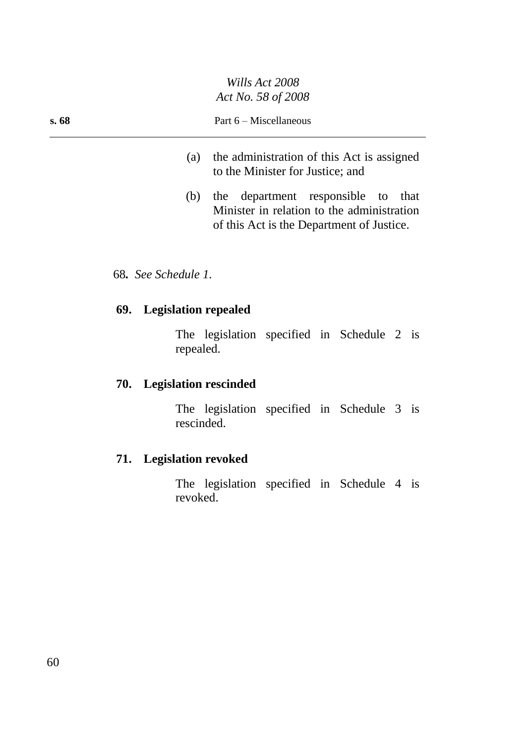- (a) the administration of this Act is assigned to the Minister for Justice; and
- (b) the department responsible to that Minister in relation to the administration of this Act is the Department of Justice.

#### 68*. See Schedule 1.*

#### **69. Legislation repealed**

The legislation specified in Schedule 2 is repealed.

## **70. Legislation rescinded**

The legislation specified in Schedule 3 is rescinded.

## **71. Legislation revoked**

The legislation specified in Schedule 4 is revoked.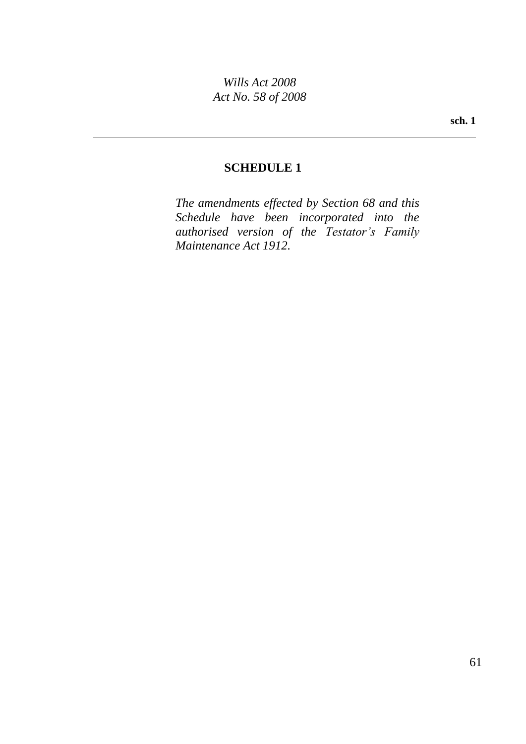## **SCHEDULE 1**

*The amendments effected by Section 68 and this Schedule have been incorporated into the authorised version of the Testator's Family Maintenance Act 1912.*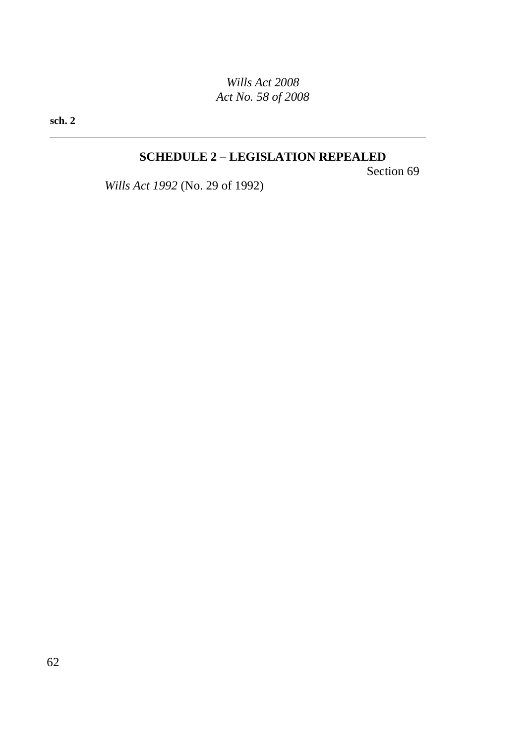**sch. 2**

## **SCHEDULE 2 – LEGISLATION REPEALED**

Section 69

*Wills Act 1992* (No. 29 of 1992)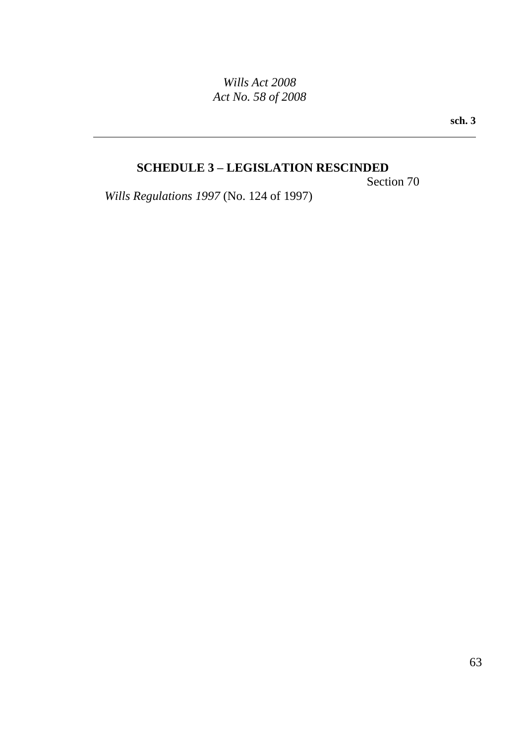**sch. 3**

## **SCHEDULE 3 – LEGISLATION RESCINDED**

Section 70

*Wills Regulations 1997* (No. 124 of 1997)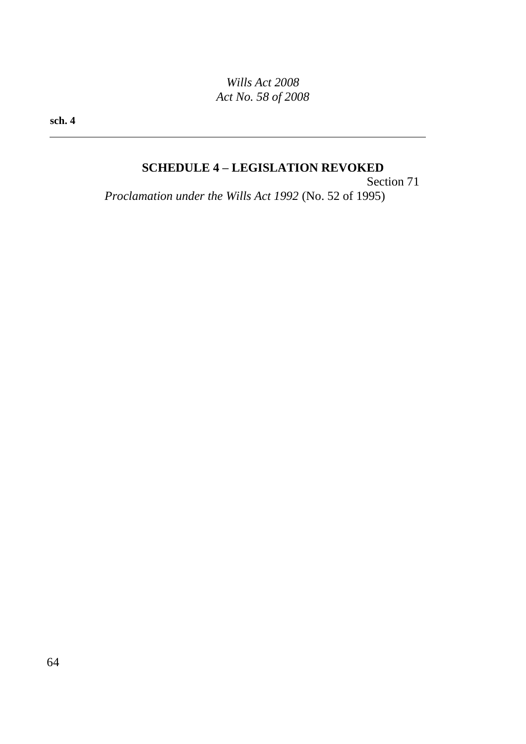**sch. 4**

## **SCHEDULE 4 – LEGISLATION REVOKED**

Section 71 *Proclamation under the Wills Act 1992* (No. 52 of 1995)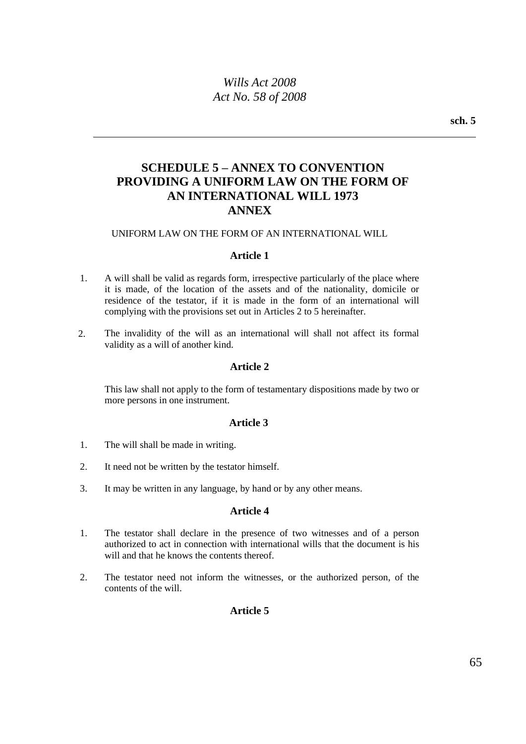## **SCHEDULE 5 – ANNEX TO CONVENTION PROVIDING A UNIFORM LAW ON THE FORM OF AN INTERNATIONAL WILL 1973 ANNEX**

#### UNIFORM LAW ON THE FORM OF AN INTERNATIONAL WILL

#### **Article 1**

- 1. A will shall be valid as regards form, irrespective particularly of the place where it is made, of the location of the assets and of the nationality, domicile or residence of the testator, if it is made in the form of an international will complying with the provisions set out in Articles 2 to 5 hereinafter.
- 2. The invalidity of the will as an international will shall not affect its formal validity as a will of another kind.

#### **Article 2**

This law shall not apply to the form of testamentary dispositions made by two or more persons in one instrument.

#### **Article 3**

- 1. The will shall be made in writing.
- 2. It need not be written by the testator himself.
- 3. It may be written in any language, by hand or by any other means.

#### **Article 4**

- 1. The testator shall declare in the presence of two witnesses and of a person authorized to act in connection with international wills that the document is his will and that he knows the contents thereof.
- 2. The testator need not inform the witnesses, or the authorized person, of the contents of the will.

#### **Article 5**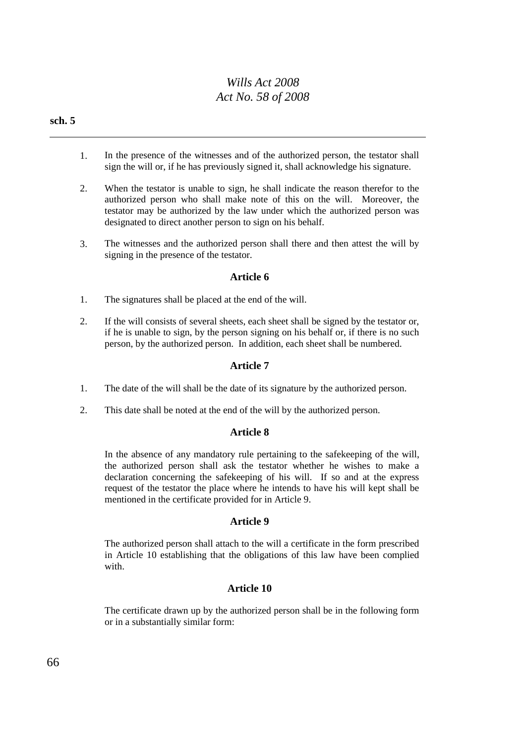#### **sch. 5**

- 1. In the presence of the witnesses and of the authorized person, the testator shall sign the will or, if he has previously signed it, shall acknowledge his signature.
- 2. When the testator is unable to sign, he shall indicate the reason therefor to the authorized person who shall make note of this on the will. Moreover, the testator may be authorized by the law under which the authorized person was designated to direct another person to sign on his behalf.
- 3. The witnesses and the authorized person shall there and then attest the will by signing in the presence of the testator.

#### **Article 6**

- 1. The signatures shall be placed at the end of the will.
- 2. If the will consists of several sheets, each sheet shall be signed by the testator or, if he is unable to sign, by the person signing on his behalf or, if there is no such person, by the authorized person. In addition, each sheet shall be numbered.

#### **Article 7**

- 1. The date of the will shall be the date of its signature by the authorized person.
- 2. This date shall be noted at the end of the will by the authorized person.

#### **Article 8**

In the absence of any mandatory rule pertaining to the safekeeping of the will, the authorized person shall ask the testator whether he wishes to make a declaration concerning the safekeeping of his will. If so and at the express request of the testator the place where he intends to have his will kept shall be mentioned in the certificate provided for in Article 9.

#### **Article 9**

The authorized person shall attach to the will a certificate in the form prescribed in Article 10 establishing that the obligations of this law have been complied with.

#### **Article 10**

The certificate drawn up by the authorized person shall be in the following form or in a substantially similar form: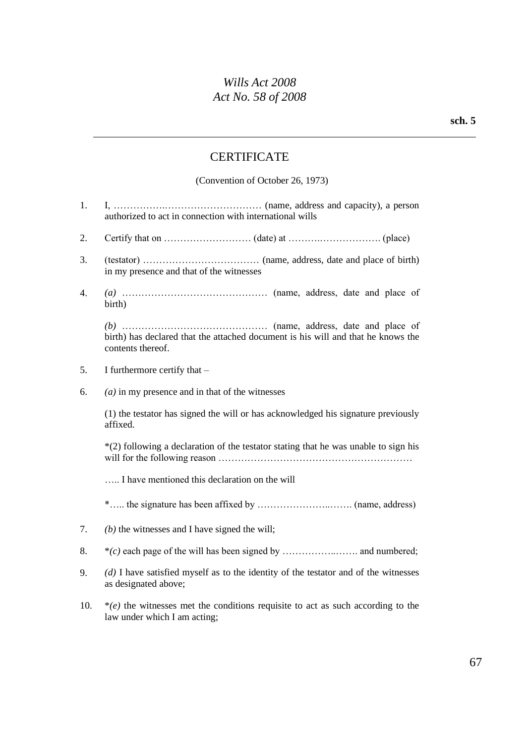## **CERTIFICATE**

(Convention of October 26, 1973)

- 1. I, …………….………………………… (name, address and capacity), a person authorized to act in connection with international wills
- 2. Certify that on  $\ldots$   $\ldots$   $\ldots$   $\ldots$   $\ldots$   $\ldots$   $\ldots$   $\ldots$   $\ldots$   $\ldots$   $\ldots$   $\ldots$   $\ldots$   $\ldots$   $\ldots$   $\ldots$   $\ldots$   $\ldots$   $\ldots$   $\ldots$   $\ldots$   $\ldots$   $\ldots$   $\ldots$   $\ldots$   $\ldots$   $\ldots$   $\ldots$   $\ldots$   $\ldots$   $\ldots$   $\ldots$   $\ldots$   $\ldots$
- 3. (testator) ……………………………… (name, address, date and place of birth) in my presence and that of the witnesses
- 4. *(a)* ……………………………………… (name, address, date and place of birth)

*(b)* ……………………………………… (name, address, date and place of birth) has declared that the attached document is his will and that he knows the contents thereof.

- 5. I furthermore certify that –
- 6. *(a)* in my presence and in that of the witnesses

(1) the testator has signed the will or has acknowledged his signature previously affixed.

\*(2) following a declaration of the testator stating that he was unable to sign his will for the following reason ……………………………………………………

….. I have mentioned this declaration on the will

\*….. the signature has been affixed by …………………..……. (name, address)

- 7. *(b)* the witnesses and I have signed the will;
- 8. \**(c)* each page of the will has been signed by ……………..……. and numbered;
- 9. *(d)* I have satisfied myself as to the identity of the testator and of the witnesses as designated above;
- 10. \**(e)* the witnesses met the conditions requisite to act as such according to the law under which I am acting;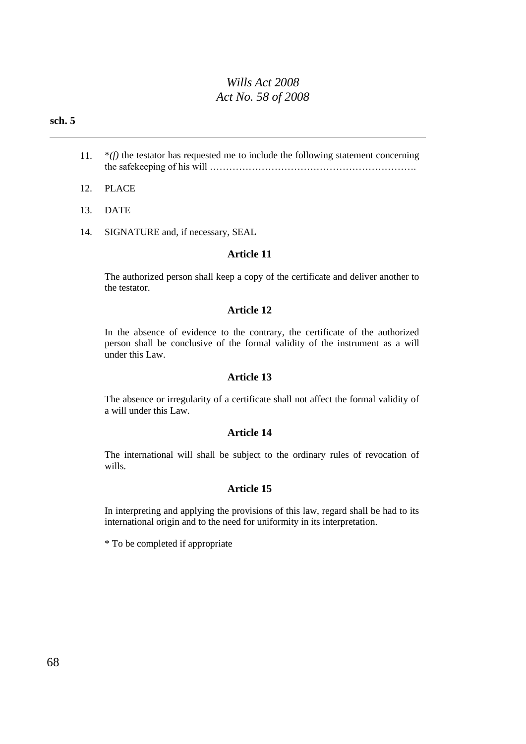#### **sch. 5**

- 11. \**(f)* the testator has requested me to include the following statement concerning the safekeeping of his will ……………………………………………………….
- 12. PLACE
- 13. DATE
- 14. SIGNATURE and, if necessary, SEAL

#### **Article 11**

The authorized person shall keep a copy of the certificate and deliver another to the testator.

#### **Article 12**

In the absence of evidence to the contrary, the certificate of the authorized person shall be conclusive of the formal validity of the instrument as a will under this Law.

#### **Article 13**

The absence or irregularity of a certificate shall not affect the formal validity of a will under this Law.

#### **Article 14**

The international will shall be subject to the ordinary rules of revocation of wills.

#### **Article 15**

In interpreting and applying the provisions of this law, regard shall be had to its international origin and to the need for uniformity in its interpretation.

\* To be completed if appropriate